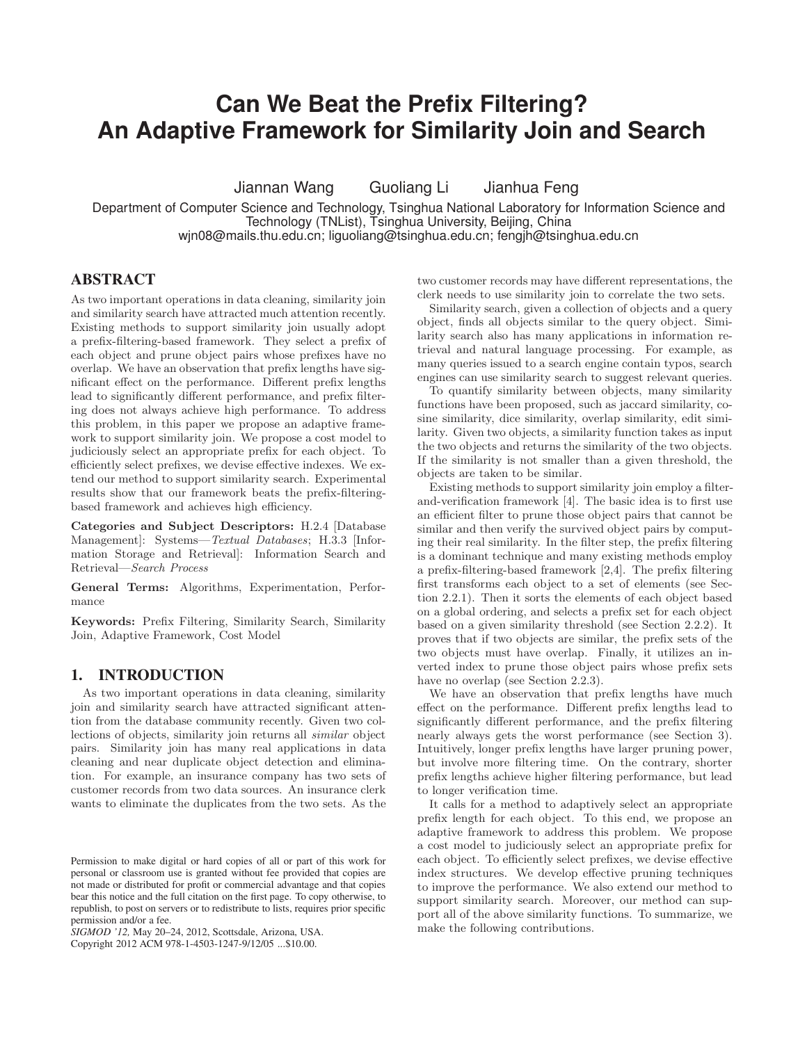# **Can We Beat the Prefix Filtering? An Adaptive Framework for Similarity Join and Search**

Jiannan Wang Guoliang Li Jianhua Feng

Department of Computer Science and Technology, Tsinghua National Laboratory for Information Science and Technology (TNList), Tsinghua University, Beijing, China wjn08@mails.thu.edu.cn; liguoliang@tsinghua.edu.cn; fengjh@tsinghua.edu.cn

# **ABSTRACT**

As two important operations in data cleaning, similarity join and similarity search have attracted much attention recently. Existing methods to support similarity join usually adopt a prefix-filtering-based framework. They select a prefix of each object and prune object pairs whose prefixes have no overlap. We have an observation that prefix lengths have significant effect on the performance. Different prefix lengths lead to significantly different performance, and prefix filtering does not always achieve high performance. To address this problem, in this paper we propose an adaptive framework to support similarity join. We propose a cost model to judiciously select an appropriate prefix for each object. To efficiently select prefixes, we devise effective indexes. We extend our method to support similarity search. Experimental results show that our framework beats the prefix-filteringbased framework and achieves high efficiency.

Categories and Subject Descriptors: H.2.4 [Database Management]: Systems—*Textual Databases*; H.3.3 [Information Storage and Retrieval]: Information Search and Retrieval—*Search Process*

General Terms: Algorithms, Experimentation, Performance

Keywords: Prefix Filtering, Similarity Search, Similarity Join, Adaptive Framework, Cost Model

# **1. INTRODUCTION**

As two important operations in data cleaning, similarity join and similarity search have attracted significant attention from the database community recently. Given two collections of objects, similarity join returns all *similar* object pairs. Similarity join has many real applications in data cleaning and near duplicate object detection and elimination. For example, an insurance company has two sets of customer records from two data sources. An insurance clerk wants to eliminate the duplicates from the two sets. As the

Copyright 2012 ACM 978-1-4503-1247-9/12/05 ...\$10.00.

two customer records may have different representations, the clerk needs to use similarity join to correlate the two sets.

Similarity search, given a collection of objects and a query object, finds all objects similar to the query object. Similarity search also has many applications in information retrieval and natural language processing. For example, as many queries issued to a search engine contain typos, search engines can use similarity search to suggest relevant queries.

To quantify similarity between objects, many similarity functions have been proposed, such as jaccard similarity, cosine similarity, dice similarity, overlap similarity, edit similarity. Given two objects, a similarity function takes as input the two objects and returns the similarity of the two objects. If the similarity is not smaller than a given threshold, the objects are taken to be similar.

Existing methods to support similarity join employ a filterand-verification framework [4]. The basic idea is to first use an efficient filter to prune those object pairs that cannot be similar and then verify the survived object pairs by computing their real similarity. In the filter step, the prefix filtering is a dominant technique and many existing methods employ a prefix-filtering-based framework [2,4]. The prefix filtering first transforms each object to a set of elements (see Section 2.2.1). Then it sorts the elements of each object based on a global ordering, and selects a prefix set for each object based on a given similarity threshold (see Section 2.2.2). It proves that if two objects are similar, the prefix sets of the two objects must have overlap. Finally, it utilizes an inverted index to prune those object pairs whose prefix sets have no overlap (see Section 2.2.3).

We have an observation that prefix lengths have much effect on the performance. Different prefix lengths lead to significantly different performance, and the prefix filtering nearly always gets the worst performance (see Section 3). Intuitively, longer prefix lengths have larger pruning power, but involve more filtering time. On the contrary, shorter prefix lengths achieve higher filtering performance, but lead to longer verification time.

It calls for a method to adaptively select an appropriate prefix length for each object. To this end, we propose an adaptive framework to address this problem. We propose a cost model to judiciously select an appropriate prefix for each object. To efficiently select prefixes, we devise effective index structures. We develop effective pruning techniques to improve the performance. We also extend our method to support similarity search. Moreover, our method can support all of the above similarity functions. To summarize, we make the following contributions.

Permission to make digital or hard copies of all or part of this work for personal or classroom use is granted without fee provided that copies are not made or distributed for profit or commercial advantage and that copies bear this notice and the full citation on the first page. To copy otherwise, to republish, to post on servers or to redistribute to lists, requires prior specific permission and/or a fee.

*SIGMOD '12,* May 20–24, 2012, Scottsdale, Arizona, USA.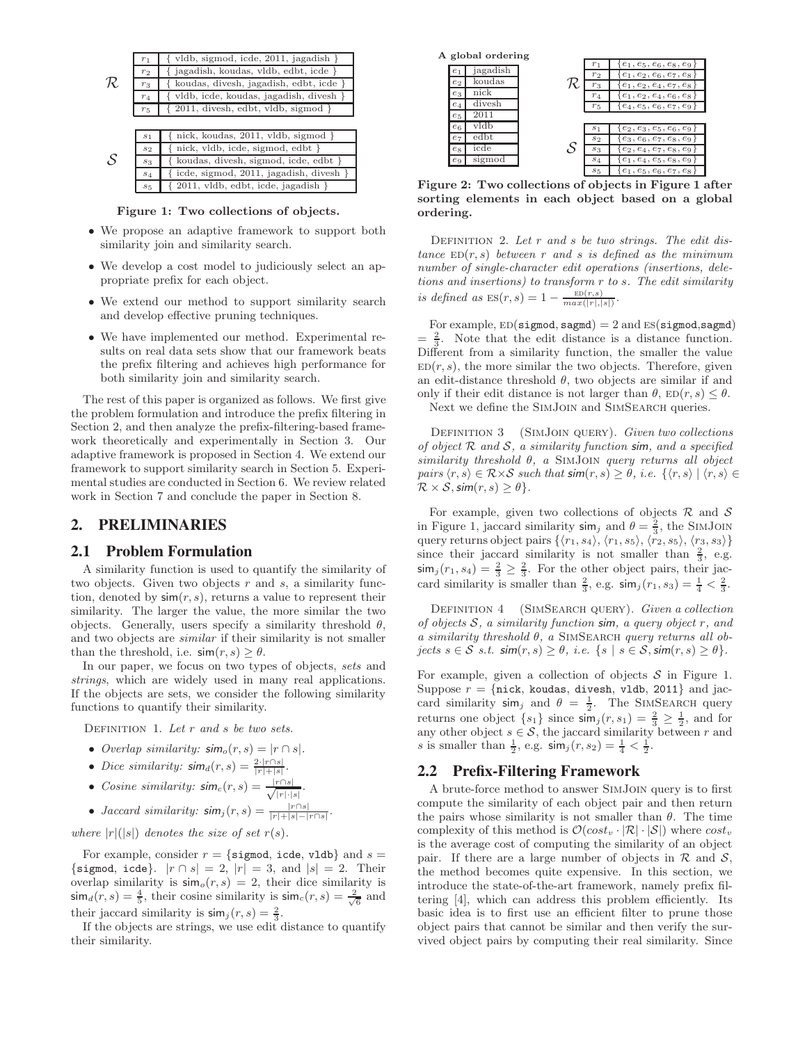|               | $r_1$          | vldb, sigmod, icde, 2011, jagadish             |
|---------------|----------------|------------------------------------------------|
|               | $r_{2}$        | jagadish, koudas, vldb, edbt, icde }           |
| R             | $r_3$          | koudas, divesh, jagadish, edbt, icde           |
|               | $r_4$          | vldb, icde, koudas, jagadish, divesh           |
|               | $r_{5}$        | $2011$ , divesh, edbt, vldb, sigmod }          |
|               |                |                                                |
|               | S <sub>1</sub> | nick, koudas, 2011, vldb, sigmod }             |
|               | $s_{2}$        | nick, vldb, icde, sigmod, edbt }               |
| $\mathcal{S}$ | $s_{3}$        | koudas, divesh, sigmod, icde, edbt             |
|               |                | $\{$ icde, sigmod, 2011, jagadish, divesh $\}$ |

s<sup>5</sup> { 2011, vldb, edbt, icde, jagadish } Figure 1: Two collections of objects.

- We propose an adaptive framework to support both similarity join and similarity search.
- We develop a cost model to judiciously select an appropriate prefix for each object.
- We extend our method to support similarity search and develop effective pruning techniques.
- We have implemented our method. Experimental results on real data sets show that our framework beats the prefix filtering and achieves high performance for both similarity join and similarity search.

The rest of this paper is organized as follows. We first give the problem formulation and introduce the prefix filtering in Section 2, and then analyze the prefix-filtering-based framework theoretically and experimentally in Section 3. Our adaptive framework is proposed in Section 4. We extend our framework to support similarity search in Section 5. Experimental studies are conducted in Section 6. We review related work in Section 7 and conclude the paper in Section 8.

# **2. PRELIMINARIES**

#### **2.1 Problem Formulation**

A similarity function is used to quantify the similarity of two objects. Given two objects  $r$  and  $s$ , a similarity function, denoted by  $\sin(r, s)$ , returns a value to represent their similarity. The larger the value, the more similar the two objects. Generally, users specify a similarity threshold  $\theta$ , and two objects are *similar* if their similarity is not smaller than the threshold, i.e.  $\mathsf{sim}(r, s) \geq \theta$ .

In our paper, we focus on two types of objects, *sets* and *strings*, which are widely used in many real applications. If the objects are sets, we consider the following similarity functions to quantify their similarity.

Definition 1. *Let* r *and* s *be two sets.*

- *Overlap similarity:*  $\mathsf{sim}_o(r, s) = |r \cap s|$ *.*
- *Dice similarity:*  $\mathsf{sim}_d(r,s) = \frac{2 \cdot |r \cap s|}{|r|+|s|}$ .
- *Cosine similarity:*  $\mathsf{sim}_c(r,s) = \frac{|r \cap s|}{\sqrt{|r| \cdot |s|}}$  $rac{r| |s|}{|r|\cdot|s|}$ .

• *Jaccard similarity:* 
$$
\text{sim}_j(r, s) = \frac{|r \cap s|}{|r| + |s| - |r \cap s|}
$$
.

*where*  $|r|(|s|)$  *denotes the size of set*  $r(s)$ *.* 

For example, consider  $r = \{\text{sigmoid}, \text{icde}, \text{vldb}\}\$ and  $s =$ {sigmod, icde}.  $|r \cap s| = 2$ ,  $|r| = 3$ , and  $|s| = 2$ . Their overlap similarity is  $\sinh_o(r, s) = 2$ , their dice similarity is  $\sinh_a(r, s) = \frac{4}{5}$ , their cosine similarity is  $\sinh_c(r, s) = \frac{2}{\sqrt{6}}$  and their jaccard similarity is  $\operatorname{sim}_j(r, s) = \frac{2}{3}$ .

If the objects are strings, we use edit distance to quantify their similarity.

| A global ordering |          |   |                |                               |  |  |
|-------------------|----------|---|----------------|-------------------------------|--|--|
|                   |          |   |                | $\{e_1, e_5, e_6, e_8, e_9\}$ |  |  |
| e <sub>1</sub>    | jagadish |   | r <sub>2</sub> | $e_1, e_2, e_6, e_7, e_8$     |  |  |
| e <sub>2</sub>    | koudas   |   | $r_3$          | $e_1, e_2, e_4, e_7, e_8$     |  |  |
| $e_3$             | nick     |   | $r_4$          | $e_1, e_2, e_4, e_6, e_8$     |  |  |
| $e_4$             | divesh   |   | $r_{5}$        | $\{e_4, e_5, e_6, e_7, e_9\}$ |  |  |
| $e_{5}$           |          |   |                |                               |  |  |
| e <sub>6</sub>    | vldb     |   | S <sub>1</sub> | $\{e_2, e_3, e_5, e_6, e_9\}$ |  |  |
| $e_7$             | edbt     |   | $s_2$          | $\{e_3, e_6, e_7, e_8, e_9\}$ |  |  |
| es                | icde     | S | $s_3$          | $e_2, e_4, e_7, e_8, e_9$     |  |  |
| $e_9$             | sigmod   |   | $S_{\Delta}$   | $e_1, e_4, e_5, e_8, e_9$     |  |  |
|                   |          |   | $s_5$          | $e_1, e_5, e_6, e_7, e_8$     |  |  |

Figure 2: Two collections of objects in Figure 1 after sorting elements in each object based on a global ordering.

Definition 2. *Let* r *and* s *be two strings. The edit dis* $tance \, \, \text{ED}(r, s) \, \text{ between } r \, \text{ and } s \, \text{ is defined as the minimum}$ *number of single-character edit operations (insertions, deletions and insertions) to transform* r *to* s*. The edit similarity is defined as*  $ES(r, s) = 1 - \frac{ED(r, s)}{max(|r|, |s|)}$ .

For example,  $ED(sigmoid, sagnd) = 2$  and  $ES(sigmoid, sagnd)$  $=\frac{2}{3}$ . Note that the edit distance is a distance function. Different from a similarity function, the smaller the value  $ED(r, s)$ , the more similar the two objects. Therefore, given an edit-distance threshold  $\theta$ , two objects are similar if and only if their edit distance is not larger than  $\theta$ ,  $ED(r, s) \leq \theta$ .

Next we define the SimJoin and SimSearch queries.

Definition 3 (SimJoin query). *Given two collections of object* <sup>R</sup> *and* <sup>S</sup>*, a similarity function* sim*, and a specified similarity threshold* θ*, a* SimJoin *query returns all object pairs*  $\langle r, s \rangle \in \mathcal{R} \times \mathcal{S}$  *such that*  $\mathsf{sim}(r, s) \geq \theta$ *, i.e.*  $\{\langle r, s \rangle \mid \langle r, s \rangle \in \mathcal{S} \}$  $\mathcal{R} \times \mathcal{S}$ ,  $\text{sim}(r, s) \geq \theta$ .

For example, given two collections of objects  $\mathcal R$  and  $\mathcal S$ in Figure 1, jaccard similarity  $\sin_j$  and  $\theta = \frac{2}{3}$ , the SIMJOIN query returns object pairs  $\{\langle r_1, s_4\rangle, \langle r_1, s_5\rangle, \langle r_2, s_5\rangle, \langle r_3, s_3\rangle\}$ since their jaccard similarity is not smaller than  $\frac{2}{3}$ , e.g.  $\sinh_j(r_1, s_4) = \frac{2}{3} \geq \frac{2}{3}$ . For the other object pairs, their jaccard similarity is smaller than  $\frac{2}{3}$ , e.g.  $\sin j(r_1, s_3) = \frac{1}{4} < \frac{2}{3}$ .

Definition 4 (SimSearch query). *Given a collection of objects* <sup>S</sup>*, a similarity function* sim*, a query object* <sup>r</sup>*, and a similarity threshold* θ*, a* SimSearch *query returns all ob* $jets s \in S \; s.t. \; sim(r, s) \geq \theta, \; i.e. \; \{s \; | \; s \in S, sim(r, s) \geq \theta\}.$ 

For example, given a collection of objects  $S$  in Figure 1. Suppose  $r = \{ \text{nick}, \text{ koudas}, \text{ divesh}, \text{ vldb}, 2011 \}$  and jaccard similarity  $\sin j$  and  $\theta = \frac{1}{2}$ . The SIMSEARCH query returns one object  $\{s_1\}$  since  $\sin^j(r, s_1) = \frac{2}{3} \geq \frac{1}{2}$ , and for any other object  $s \in \mathcal{S}$ , the jaccard similarity between r and s is smaller than  $\frac{1}{2}$ , e.g.  $\sinh_j(r, s_2) = \frac{1}{4} < \frac{1}{2}$ .

## **2.2 Prefix-Filtering Framework**

A brute-force method to answer SimJoin query is to first compute the similarity of each object pair and then return the pairs whose similarity is not smaller than  $\theta$ . The time complexity of this method is  $\mathcal{O}(cost_v \cdot |\mathcal{R}| \cdot |\mathcal{S}|)$  where  $cost_v$ is the average cost of computing the similarity of an object pair. If there are a large number of objects in  $\mathcal R$  and  $\mathcal S$ , the method becomes quite expensive. In this section, we introduce the state-of-the-art framework, namely prefix filtering [4], which can address this problem efficiently. Its basic idea is to first use an efficient filter to prune those object pairs that cannot be similar and then verify the survived object pairs by computing their real similarity. Since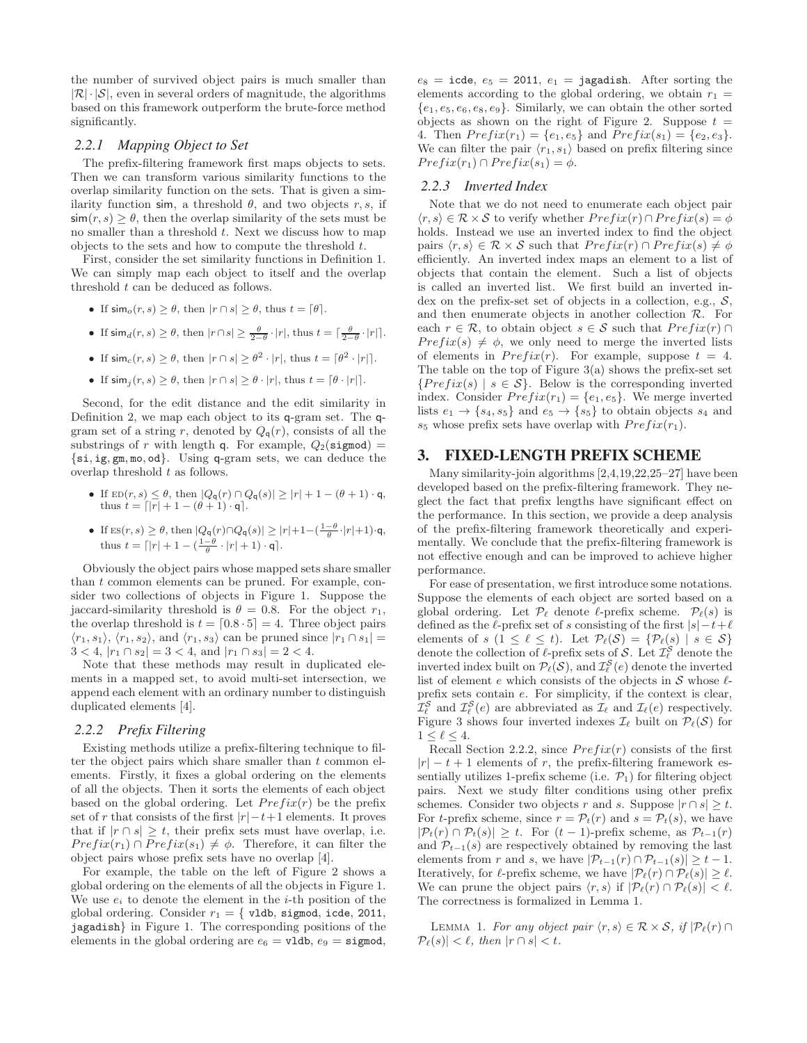the number of survived object pairs is much smaller than  $|\mathcal{R}| \cdot |\mathcal{S}|$ , even in several orders of magnitude, the algorithms based on this framework outperform the brute-force method significantly.

#### *2.2.1 Mapping Object to Set*

The prefix-filtering framework first maps objects to sets. Then we can transform various similarity functions to the overlap similarity function on the sets. That is given a similarity function sim, a threshold  $\theta$ , and two objects r, s, if  $\sin(r, s) \geq \theta$ , then the overlap similarity of the sets must be no smaller than a threshold  $t$ . Next we discuss how to map objects to the sets and how to compute the threshold  $t$ .

First, consider the set similarity functions in Definition 1. We can simply map each object to itself and the overlap threshold t can be deduced as follows.

- If  $\sinh_o(r, s) \ge \theta$ , then  $|r \cap s| \ge \theta$ , thus  $t = \lfloor \theta \rfloor$ .
- If  $\sin_a(r, s) \ge \theta$ , then  $|r \cap s| \ge \frac{\theta}{2-\theta} \cdot |r|$ , thus  $t = \lceil \frac{\theta}{2-\theta} \cdot |r| \rceil$ .
- If  $\operatorname{sim}_c(r, s) \ge \theta$ , then  $|r \cap s| \ge \theta^2 \cdot |r|$ , thus  $t = \lfloor \theta^2 \cdot |r| \rfloor$ .
- If  $\sin(i(r, s) > \theta$ , then  $|r \cap s| > \theta \cdot |r|$ , thus  $t = [\theta \cdot |r|]$ .

Second, for the edit distance and the edit similarity in Definition 2, we map each object to its q-gram set. The qgram set of a string r, denoted by  $Q_{\mathfrak{a}}(r)$ , consists of all the substrings of r with length q. For example,  $Q_2$ (sigmod) = {si, ig, gm, mo, od}. Using q-gram sets, we can deduce the overlap threshold t as follows.

- If  $ED(r, s) \leq \theta$ , then  $|Q_{\mathsf{q}}(r) \cap Q_{\mathsf{q}}(s)| \geq |r| + 1 (\theta + 1) \cdot \mathsf{q}$ , thus  $t = \lfloor |r| + 1 - (\theta + 1) \cdot q \rfloor$ .
- If  $\text{ES}(r, s) \geq \theta$ , then  $|Q_{\mathsf{q}}(r) \cap Q_{\mathsf{q}}(s)| \geq |r| + 1 \left(\frac{1-\theta}{\theta} \cdot |r| + 1\right) \cdot \mathsf{q}$ , thus  $t = \lceil |r| + 1 - \left(\frac{1-\theta}{\theta} \cdot |r| + 1\right) \cdot \mathsf{q} \rceil$ .

Obviously the object pairs whose mapped sets share smaller than t common elements can be pruned. For example, consider two collections of objects in Figure 1. Suppose the jaccard-similarity threshold is  $\theta = 0.8$ . For the object  $r_1$ , the overlap threshold is  $t = [0.8 \cdot 5] = 4$ . Three object pairs  $\langle r_1, s_1 \rangle$ ,  $\langle r_1, s_2 \rangle$ , and  $\langle r_1, s_3 \rangle$  can be pruned since  $|r_1 \cap s_1|$  =  $3 < 4, |r_1 \cap s_2| = 3 < 4, \text{ and } |r_1 \cap s_3| = 2 < 4.$ 

Note that these methods may result in duplicated elements in a mapped set, to avoid multi-set intersection, we append each element with an ordinary number to distinguish duplicated elements [4].

## *2.2.2 Prefix Filtering*

Existing methods utilize a prefix-filtering technique to filter the object pairs which share smaller than  $t$  common elements. Firstly, it fixes a global ordering on the elements of all the objects. Then it sorts the elements of each object based on the global ordering. Let  $Prefix(r)$  be the prefix set of r that consists of the first  $|r| - t + 1$  elements. It proves that if  $|r \cap s| \geq t$ , their prefix sets must have overlap, i.e.  $Prefix(r_1) \cap Prefix(s_1) \neq \emptyset$ . Therefore, it can filter the object pairs whose prefix sets have no overlap [4].

For example, the table on the left of Figure 2 shows a global ordering on the elements of all the objects in Figure 1. We use  $e_i$  to denote the element in the *i*-th position of the global ordering. Consider  $r_1 = \{$  vldb, sigmod, icde, 2011, jagadish} in Figure 1. The corresponding positions of the elements in the global ordering are  $e_6 = \text{vldb}, e_9 = \text{sigmoid},$   $e_8$  = icde,  $e_5$  = 2011,  $e_1$  = jagadish. After sorting the elements according to the global ordering, we obtain  $r_1$  =  ${e_1, e_5, e_6, e_8, e_9}$ . Similarly, we can obtain the other sorted objects as shown on the right of Figure 2. Suppose  $t =$ 4. Then  $Prefix(r_1) = \{e_1, e_5\}$  and  $Prefix(s_1) = \{e_2, e_3\}.$ We can filter the pair  $\langle r_1, s_1 \rangle$  based on prefix filtering since  $Prefix(r_1) \cap Prefix(s_1) = \phi.$ 

#### *2.2.3 Inverted Index*

Note that we do not need to enumerate each object pair  $\langle r, s \rangle \in \mathcal{R} \times \mathcal{S}$  to verify whether  $Prefix(r) \cap Prefix(s) = \phi$ holds. Instead we use an inverted index to find the object pairs  $\langle r, s \rangle \in \mathcal{R} \times \mathcal{S}$  such that  $Prefix(r) \cap Prefix(s) \neq \phi$ efficiently. An inverted index maps an element to a list of objects that contain the element. Such a list of objects is called an inverted list. We first build an inverted index on the prefix-set set of objects in a collection, e.g.,  $S$ , and then enumerate objects in another collection  $\mathcal{R}$ . For each  $r \in \mathcal{R}$ , to obtain object  $s \in \mathcal{S}$  such that  $Prefix(r) \cap$  $Prefix(s) \neq \phi$ , we only need to merge the inverted lists of elements in  $Prefix(r)$ . For example, suppose  $t = 4$ . The table on the top of Figure  $3(a)$  shows the prefix-set set  ${Prefix(s) | s \in S}$ . Below is the corresponding inverted index. Consider  $Prefix(r_1) = \{e_1, e_5\}$ . We merge inverted lists  $e_1 \rightarrow \{s_4, s_5\}$  and  $e_5 \rightarrow \{s_5\}$  to obtain objects  $s_4$  and  $s_5$  whose prefix sets have overlap with  $Prefix(r_1)$ .

# **3. FIXED-LENGTH PREFIX SCHEME**

Many similarity-join algorithms [2,4,19,22,25–27] have been developed based on the prefix-filtering framework. They neglect the fact that prefix lengths have significant effect on the performance. In this section, we provide a deep analysis of the prefix-filtering framework theoretically and experimentally. We conclude that the prefix-filtering framework is not effective enough and can be improved to achieve higher performance.

For ease of presentation, we first introduce some notations. Suppose the elements of each object are sorted based on a global ordering. Let  $\mathcal{P}_{\ell}$  denote  $\ell$ -prefix scheme.  $\mathcal{P}_{\ell}(s)$  is defined as the  $\ell$ -prefix set of s consisting of the first  $|s| - t + \ell$ elements of  $s$   $(1 \leq \ell \leq t)$ . Let  $\mathcal{P}_{\ell}(\mathcal{S}) = {\mathcal{P}_{\ell}(s) | s \in \mathcal{S}}$ denote the collection of  $\ell$ -prefix sets of S. Let  $\mathcal{I}^S_{\ell}$  denote the inverted index built on  $\mathcal{P}_{\ell}(\mathcal{S})$ , and  $\mathcal{I}_{\ell}^{\mathcal{S}}(e)$  denote the inverted list of element  $e$  which consists of the objects in  $S$  whose  $\ell$ prefix sets contain e. For simplicity, if the context is clear,  $\mathcal{I}_{\ell}^{\mathcal{S}}$  and  $\mathcal{I}_{\ell}^{\mathcal{S}}(e)$  are abbreviated as  $\mathcal{I}_{\ell}$  and  $\mathcal{I}_{\ell}(e)$  respectively. Figure 3 shows four inverted indexes  $\mathcal{I}_{\ell}$  built on  $\mathcal{P}_{\ell}(\mathcal{S})$  for  $1 \leq \ell \leq 4$ .

Recall Section 2.2.2, since  $Prefix(r)$  consists of the first  $|r| - t + 1$  elements of r, the prefix-filtering framework essentially utilizes 1-prefix scheme (i.e.  $\mathcal{P}_1$ ) for filtering object pairs. Next we study filter conditions using other prefix schemes. Consider two objects r and s. Suppose  $|r \cap s| \geq t$ . For t-prefix scheme, since  $r = \mathcal{P}_t(r)$  and  $s = \mathcal{P}_t(s)$ , we have  $|\mathcal{P}_t(r) \cap \mathcal{P}_t(s)| \geq t$ . For  $(t-1)$ -prefix scheme, as  $\mathcal{P}_{t-1}(r)$ and  $\mathcal{P}_{t-1}(s)$  are respectively obtained by removing the last elements from r and s, we have  $|\mathcal{P}_{t-1}(r) \cap \mathcal{P}_{t-1}(s)| \geq t-1$ . Iteratively, for  $\ell$ -prefix scheme, we have  $|\mathcal{P}_{\ell}(r) \cap \mathcal{P}_{\ell}(s)| > \ell$ . We can prune the object pairs  $\langle r, s \rangle$  if  $|\mathcal{P}_{\ell}(r) \cap \mathcal{P}_{\ell}(s)| < \ell$ . The correctness is formalized in Lemma 1.

LEMMA 1. For any object pair  $\langle r, s \rangle \in \mathcal{R} \times \mathcal{S}$ , if  $|\mathcal{P}_{\ell}(r) \cap$  $\mathcal{P}_{\ell}(s) \leq \ell$ , then  $|r \cap s| < t$ .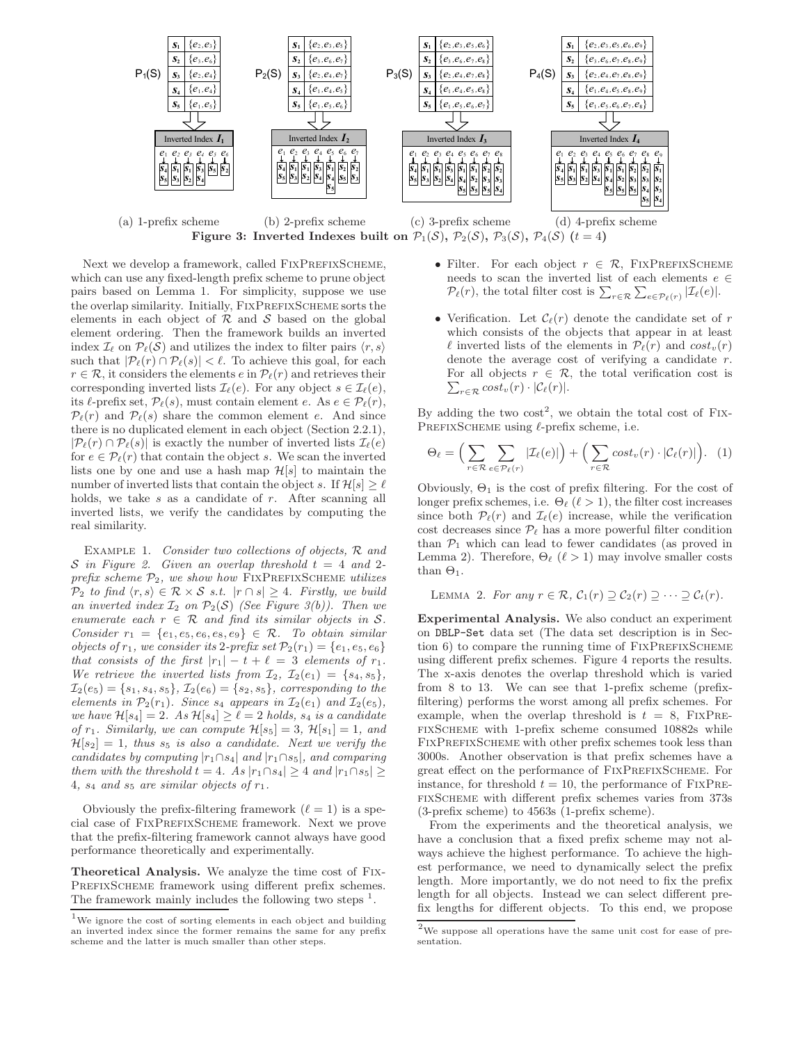

(a) 1-prefix scheme (b) 2-prefix scheme (c) 3-prefix scheme (d) 4-prefix scheme Figure 3: Inverted Indexes built on  $\mathcal{P}_1(\mathcal{S}), \mathcal{P}_2(\mathcal{S}), \mathcal{P}_3(\mathcal{S}), \mathcal{P}_4(\mathcal{S})$  (t = 4)

Next we develop a framework, called FIXPREFIXSCHEME, which can use any fixed-length prefix scheme to prune object pairs based on Lemma 1. For simplicity, suppose we use the overlap similarity. Initially, FIXPREFIXSCHEME sorts the elements in each object of  $R$  and  $S$  based on the global element ordering. Then the framework builds an inverted index  $\mathcal{I}_{\ell}$  on  $\mathcal{P}_{\ell}(\mathcal{S})$  and utilizes the index to filter pairs  $\langle r, s \rangle$ such that  $|\mathcal{P}_{\ell}(r) \cap \mathcal{P}_{\ell}(s)| < \ell$ . To achieve this goal, for each  $r \in \mathcal{R}$ , it considers the elements  $e$  in  $\mathcal{P}_{\ell}(r)$  and retrieves their corresponding inverted lists  $\mathcal{I}_{\ell}(e)$ . For any object  $s \in \mathcal{I}_{\ell}(e)$ , its  $\ell$ -prefix set,  $\mathcal{P}_{\ell}(s)$ , must contain element e. As  $e \in \mathcal{P}_{\ell}(r)$ ,  $P_{\ell}(r)$  and  $P_{\ell}(s)$  share the common element e. And since there is no duplicated element in each object (Section 2.2.1),  $|\mathcal{P}_{\ell}(r) \cap \mathcal{P}_{\ell}(s)|$  is exactly the number of inverted lists  $\mathcal{I}_{\ell}(e)$ for  $e \in \mathcal{P}_{\ell}(r)$  that contain the object s. We scan the inverted lists one by one and use a hash map  $\mathcal{H}[s]$  to maintain the number of inverted lists that contain the object s. If  $\mathcal{H}[s] \geq \ell$ holds, we take  $s$  as a candidate of  $r$ . After scanning all inverted lists, we verify the candidates by computing the real similarity.

Example 1. *Consider two collections of objects,* R *and* S in Figure 2. Given an overlap threshold  $t = 4$  and 2*prefix scheme* P2*, we show how* FixPrefixScheme *utilizes*  $\mathcal{P}_2$  *to find*  $\langle r, s \rangle \in \mathcal{R} \times \mathcal{S}$  *s.t.*  $|r \cap s| \geq 4$ *. Firstly, we build* an inverted index  $\mathcal{I}_2$  on  $\mathcal{P}_2(\mathcal{S})$  *(See Figure 3(b)). Then we enumerate each*  $r \in \mathcal{R}$  *and find its similar objects in* S. *Consider*  $r_1 = \{e_1, e_5, e_6, e_8, e_9\} \in \mathcal{R}$ *. To obtain similar objects of*  $r_1$ *, we consider its* 2*-prefix set*  $\mathcal{P}_2(r_1) = \{e_1, e_5, e_6\}$ *that consists of the first*  $|r_1| - t + \ell = 3$  *elements of*  $r_1$ *. We retrieve the inverted lists from*  $\mathcal{I}_2$ ,  $\mathcal{I}_2(e_1) = \{s_4, s_5\}$ ,  $\mathcal{I}_2(e_5) = \{s_1, s_4, s_5\}, \mathcal{I}_2(e_6) = \{s_2, s_5\},$  corresponding to the *elements in*  $\mathcal{P}_2(r_1)$ *. Since*  $s_4$  *appears in*  $\mathcal{I}_2(e_1)$  *and*  $\mathcal{I}_2(e_5)$ *, we have*  $\mathcal{H}[s_4] = 2$ *.* As  $\mathcal{H}[s_4] \geq \ell = 2$  *holds,*  $s_4$  *is a candidate of*  $r_1$ *. Similarly, we can compute*  $\mathcal{H}[s_5] = 3$ *,*  $\mathcal{H}[s_1] = 1$ *, and*  $\mathcal{H}[s_2] = 1$ , thus  $s_5$  is also a candidate. Next we verify the *candidates by computing* |r1∩s4| *and* |r1∩s5|*, and comparing them with the threshold*  $t = 4$ *. As*  $|r_1 \cap s_4| \geq 4$  *and*  $|r_1 \cap s_5| \geq 4$ 4,  $s_4$  and  $s_5$  are similar objects of  $r_1$ .

Obviously the prefix-filtering framework  $(\ell = 1)$  is a special case of FixPrefixScheme framework. Next we prove that the prefix-filtering framework cannot always have good performance theoretically and experimentally.

Theoretical Analysis. We analyze the time cost of Fix-PREFIXSCHEME framework using different prefix schemes. The framework mainly includes the following two steps  $<sup>1</sup>$ .</sup>

- Filter. For each object  $r \in \mathcal{R}$ , FIXPREFIXSCHEME needs to scan the inverted list of each elements  $e \in$  $\mathcal{P}_{\ell}(r)$ , the total filter cost is  $\sum_{r \in \mathcal{R}} \sum_{e \in \mathcal{P}_{\ell}(r)} |\mathcal{I}_{\ell}(e)|$ .
- Verification. Let  $\mathcal{C}_{\ell}(r)$  denote the candidate set of r which consists of the objects that appear in at least  $\ell$  inverted lists of the elements in  $\mathcal{P}_{\ell}(r)$  and  $cost_v(r)$ denote the average cost of verifying a candidate r.  $\sum_{r \in \mathcal{R}} cost_v(r) \cdot |\mathcal{C}_{\ell}(r)|.$ For all objects  $r \in \mathcal{R}$ , the total verification cost is

By adding the two  $\cos t^2$ , we obtain the total cost of FIX-PREFIXSCHEME using  $\ell$ -prefix scheme, i.e.

$$
\Theta_{\ell} = \Big( \sum_{r \in \mathcal{R}} \sum_{e \in \mathcal{P}_{\ell}(r)} |\mathcal{I}_{\ell}(e)| \Big) + \Big( \sum_{r \in \mathcal{R}} cost_v(r) \cdot |\mathcal{C}_{\ell}(r)| \Big). \tag{1}
$$

Obviously,  $\Theta_1$  is the cost of prefix filtering. For the cost of longer prefix schemes, i.e.  $\Theta_{\ell}$  ( $\ell > 1$ ), the filter cost increases since both  $\mathcal{P}_{\ell}(r)$  and  $\mathcal{I}_{\ell}(e)$  increase, while the verification cost decreases since  $\mathcal{P}_{\ell}$  has a more powerful filter condition than  $P_1$  which can lead to fewer candidates (as proved in Lemma 2). Therefore,  $\Theta_{\ell}$  ( $\ell > 1$ ) may involve smaller costs than  $\Theta_1$ .

LEMMA 2. For any  $r \in \mathcal{R}$ ,  $C_1(r) \supseteq C_2(r) \supseteq \cdots \supseteq C_t(r)$ .

Experimental Analysis. We also conduct an experiment on DBLP-Set data set (The data set description is in Section  $6$ ) to compare the running time of  $FixPREFIXSCHEME$ using different prefix schemes. Figure 4 reports the results. The x-axis denotes the overlap threshold which is varied from 8 to 13. We can see that 1-prefix scheme (prefixfiltering) performs the worst among all prefix schemes. For example, when the overlap threshold is  $t = 8$ , FIXPREfixScheme with 1-prefix scheme consumed 10882s while FIXPREFIXSCHEME with other prefix schemes took less than 3000s. Another observation is that prefix schemes have a great effect on the performance of FIXPREFIXSCHEME. For instance, for threshold  $t = 10$ , the performance of  $\text{FixPRE}$ fixScheme with different prefix schemes varies from 373s (3-prefix scheme) to 4563s (1-prefix scheme).

From the experiments and the theoretical analysis, we have a conclusion that a fixed prefix scheme may not always achieve the highest performance. To achieve the highest performance, we need to dynamically select the prefix length. More importantly, we do not need to fix the prefix length for all objects. Instead we can select different prefix lengths for different objects. To this end, we propose

 $^{\rm 1}{\rm We}$  ignore the cost of sorting elements in each object and building an inverted index since the former remains the same for any prefix scheme and the latter is much smaller than other steps.

 $2$ We suppose all operations have the same unit cost for ease of presentation.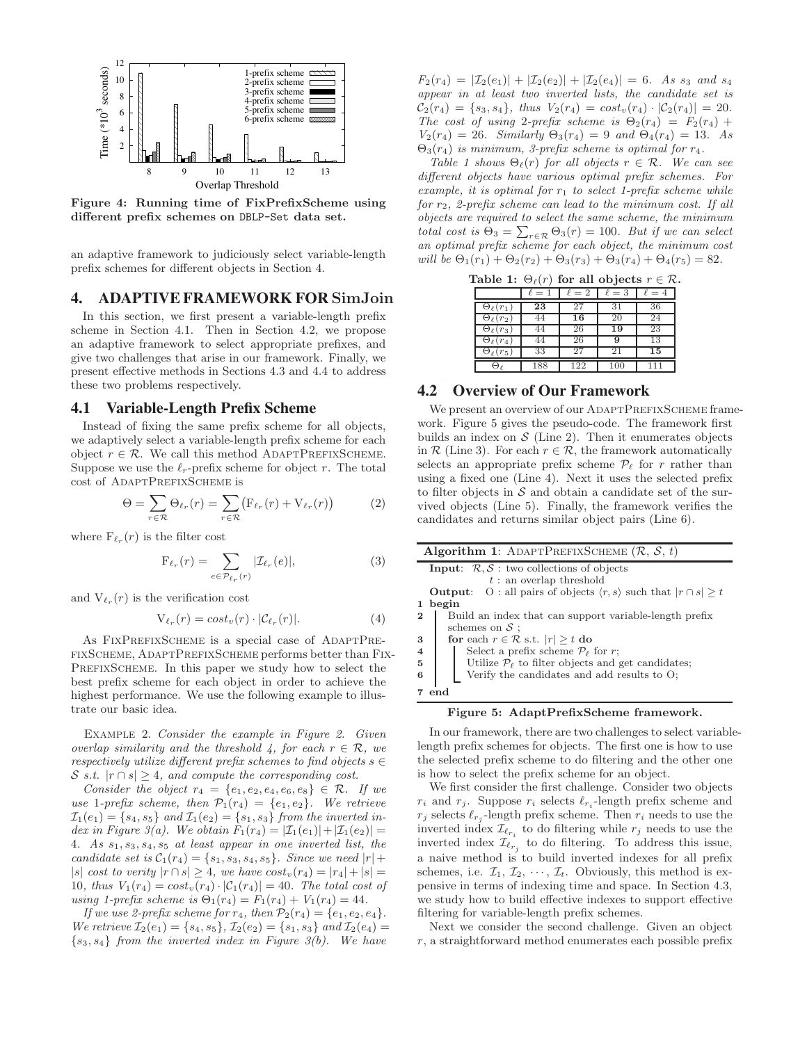

Figure 4: Running time of FixPrefixScheme using different prefix schemes on DBLP-Set data set.

an adaptive framework to judiciously select variable-length prefix schemes for different objects in Section 4.

# **4. ADAPTIVE FRAMEWORK FOR** SimJoin

In this section, we first present a variable-length prefix scheme in Section 4.1. Then in Section 4.2, we propose an adaptive framework to select appropriate prefixes, and give two challenges that arise in our framework. Finally, we present effective methods in Sections 4.3 and 4.4 to address these two problems respectively.

#### **4.1 Variable-Length Prefix Scheme**

Instead of fixing the same prefix scheme for all objects, we adaptively select a variable-length prefix scheme for each object  $r \in \mathcal{R}$ . We call this method ADAPTPREFIXSCHEME. Suppose we use the  $\ell_r$ -prefix scheme for object r. The total cost of ADAPTPREFIXSCHEME is

$$
\Theta = \sum_{r \in \mathcal{R}} \Theta_{\ell_r}(r) = \sum_{r \in \mathcal{R}} \left( F_{\ell_r}(r) + V_{\ell_r}(r) \right) \tag{2}
$$

where  $F_{\ell_r}(r)$  is the filter cost

$$
\mathcal{F}_{\ell_r}(r) = \sum_{e \in \mathcal{P}_{\ell_r}(r)} |\mathcal{I}_{\ell_r}(e)|, \tag{3}
$$

and  $V_{\ell_r}(r)$  is the verification cost

$$
V_{\ell_r}(r) = cost_v(r) \cdot |\mathcal{C}_{\ell_r}(r)|. \tag{4}
$$

As FIXPREFIXSCHEME is a special case of ADAPTPREfixScheme, AdaptPrefixScheme performs better than Fix-PREFIXSCHEME. In this paper we study how to select the best prefix scheme for each object in order to achieve the highest performance. We use the following example to illustrate our basic idea.

Example 2. *Consider the example in Figure 2. Given overlap similarity and the threshold 4, for each*  $r \in \mathcal{R}$ *, we respectively utilize different prefix schemes to find objects*  $s \in$ S *s.t.*  $|r \cap s| \geq 4$ , and compute the corresponding cost.

*Consider the object*  $r_4 = \{e_1, e_2, e_4, e_6, e_8\} \in \mathcal{R}$ *. If we use* 1-prefix scheme, then  $\mathcal{P}_1(r_4) = \{e_1, e_2\}$ . We retrieve  $I_1(e_1) = \{s_4, s_5\}$  and  $I_1(e_2) = \{s_1, s_3\}$  *from the inverted index in Figure 3(a).* We obtain  $F_1(r_4) = |\mathcal{I}_1(e_1)| + |\mathcal{I}_1(e_2)| =$ 4*. As* s1, s3, s4, s<sup>5</sup> *at least appear in one inverted list, the candidate set is*  $C_1(r_4) = \{s_1, s_3, s_4, s_5\}$ *. Since we need*  $|r| +$ |s| *cost to verity*  $|r \cap s| \geq 4$ , we have  $cost_v(r_4) = |r_4| + |s| =$ 10*, thus*  $V_1(r_4) = \cos t_v(r_4) \cdot |\mathcal{C}_1(r_4)| = 40$ *. The total cost of using 1-prefix scheme is*  $\Theta_1(r_4) = F_1(r_4) + V_1(r_4) = 44$ .

*If we use 2-prefix scheme for*  $r_4$ *, then*  $\mathcal{P}_2(r_4) = \{e_1, e_2, e_4\}.$ *We retrieve*  $\mathcal{I}_2(e_1) = \{s_4, s_5\}, \mathcal{I}_2(e_2) = \{s_1, s_3\}$  *and*  $\mathcal{I}_2(e_4) =$ {s3, s4} *from the inverted index in Figure 3(b). We have*

 $F_2(r_4) = |\mathcal{I}_2(e_1)| + |\mathcal{I}_2(e_2)| + |\mathcal{I}_2(e_4)| = 6$ . As s<sub>3</sub> and s<sub>4</sub> *appear in at least two inverted lists, the candidate set is*  $C_2(r_4) = \{s_3, s_4\},$  thus  $V_2(r_4) = cost_v(r_4) \cdot |\mathcal{C}_2(r_4)| = 20.$ *The cost of using* 2*-prefix scheme is*  $\Theta_2(r_4) = F_2(r_4) +$  $V_2(r_4) = 26$ *. Similarly*  $\Theta_3(r_4) = 9$  *and*  $\Theta_4(r_4) = 13$ *. As* Θ3(r4) *is minimum, 3-prefix scheme is optimal for* r4*.*

*Table 1 shows*  $\Theta_{\ell}(r)$  *for all objects*  $r \in \mathcal{R}$ *. We can see different objects have various optimal prefix schemes. For example, it is optimal for*  $r_1$  *to select 1-prefix scheme while for* r2*, 2-prefix scheme can lead to the minimum cost. If all objects are required to select the same scheme, the minimum total cost is*  $\hat{\Theta}_3 = \sum_{r \in \mathcal{R}} \Theta_3(r) = 100$ *. But if we can select an optimal prefix scheme for each object, the minimum cost will be*  $\Theta_1(r_1) + \Theta_2(r_2) + \Theta_3(r_3) + \Theta_3(r_4) + \Theta_4(r_5) = 82.$ 

Table 1:  $\Theta_{\ell}(r)$  for all objects  $r \in \mathcal{R}$ .

|                      | $\ell = 1$ | $\ell=2$ | $\ell=3$ | $\ell=4$ |
|----------------------|------------|----------|----------|----------|
| $\Theta_{\ell}(r_1)$ | 23         | 27       | 31       | 36       |
| $\Theta_{\ell}(r_2)$ | 44         | 16       | 20       | 24       |
| $\Theta_{\ell}(r_3)$ | 44         | 26       | 19       | 23       |
| $\Theta_{\ell}(r_4)$ | 44         | 26       | 9        | 13       |
| $\Theta_{\ell}(r_5)$ | 33         | 27       | 21       | 15       |
|                      | 188        | 122      | 100      | 111      |

# **4.2 Overview of Our Framework**

We present an overview of our ADAPTPREFIXSCHEME framework. Figure 5 gives the pseudo-code. The framework first builds an index on  $S$  (Line 2). Then it enumerates objects in  $\mathcal R$  (Line 3). For each  $r \in \mathcal R$ , the framework automatically selects an appropriate prefix scheme  $\mathcal{P}_{\ell}$  for r rather than using a fixed one (Line 4). Next it uses the selected prefix to filter objects in  $S$  and obtain a candidate set of the survived objects (Line 5). Finally, the framework verifies the candidates and returns similar object pairs (Line 6).



#### Figure 5: AdaptPrefixScheme framework.

In our framework, there are two challenges to select variablelength prefix schemes for objects. The first one is how to use the selected prefix scheme to do filtering and the other one is how to select the prefix scheme for an object.

We first consider the first challenge. Consider two objects  $r_i$  and  $r_j$ . Suppose  $r_i$  selects  $\ell_{r_i}$ -length prefix scheme and  $r_j$  selects  $\ell_{r_j}$ -length prefix scheme. Then  $r_i$  needs to use the inverted index  $\mathcal{I}_{e_{r_i}}$  to do filtering while  $r_j$  needs to use the inverted index  $\mathcal{I}_{\ell_{r_j}}$  to do filtering. To address this issue, a naive method is to build inverted indexes for all prefix schemes, i.e.  $\mathcal{I}_1, \mathcal{I}_2, \cdots, \mathcal{I}_t$ . Obviously, this method is expensive in terms of indexing time and space. In Section 4.3, we study how to build effective indexes to support effective filtering for variable-length prefix schemes.

Next we consider the second challenge. Given an object r, a straightforward method enumerates each possible prefix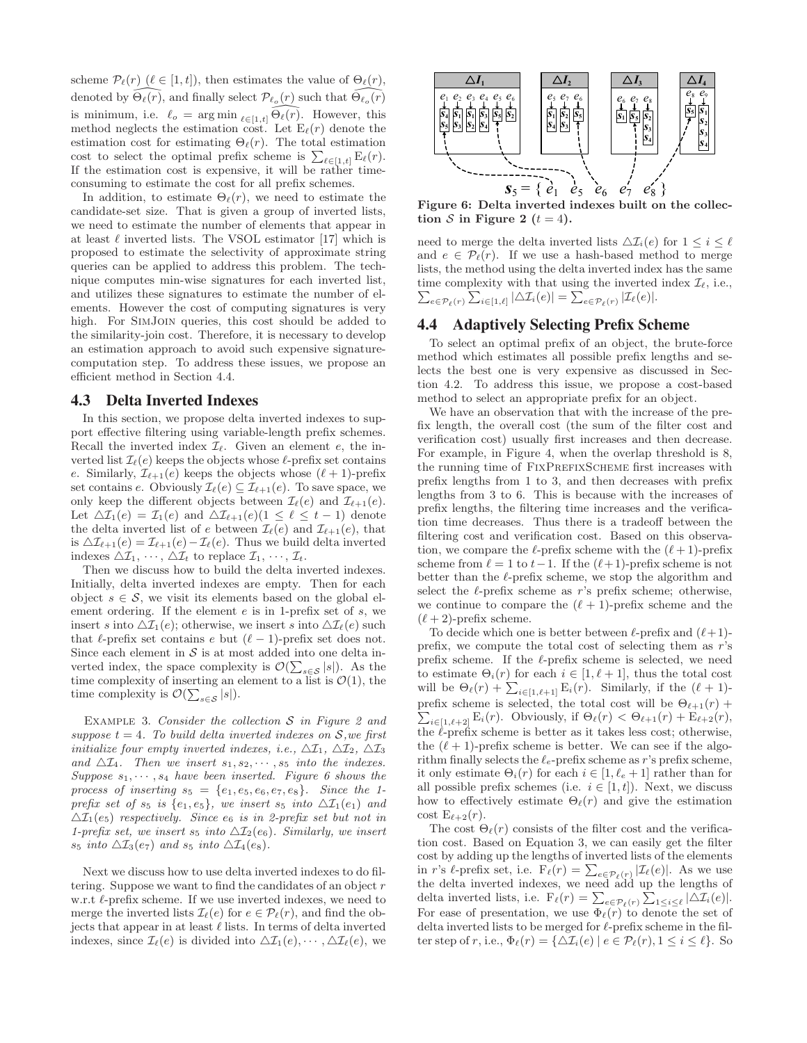scheme  $\mathcal{P}_{\ell}(r)$  ( $\ell \in [1, t]$ ), then estimates the value of  $\Theta_{\ell}(r)$ , denoted by  $\widehat{\Theta_\ell(r)}$ , and finally select  $\mathcal{P}_{\ell_o}(r)$  such that  $\widehat{\Theta_{\ell_o}(r)}$ is minimum, i.e.  $\ell_o = \arg \min_{\ell \in [1,t]} \Theta_\ell(r)$ . However, this method neglects the estimation cost. Let  $E_{\ell}(r)$  denote the estimation cost for estimating  $\Theta_{\ell}(r)$ . The total estimation cost to select the optimal prefix scheme is  $\sum_{\ell \in [1,t]} \mathbf{E}_{\ell}(r)$ . If the estimation cost is expensive, it will be rather timeconsuming to estimate the cost for all prefix schemes.

In addition, to estimate  $\Theta_{\ell}(r)$ , we need to estimate the candidate-set size. That is given a group of inverted lists, we need to estimate the number of elements that appear in at least  $\ell$  inverted lists. The VSOL estimator [17] which is proposed to estimate the selectivity of approximate string queries can be applied to address this problem. The technique computes min-wise signatures for each inverted list, and utilizes these signatures to estimate the number of elements. However the cost of computing signatures is very high. For SimJoin queries, this cost should be added to the similarity-join cost. Therefore, it is necessary to develop an estimation approach to avoid such expensive signaturecomputation step. To address these issues, we propose an efficient method in Section 4.4.

## **4.3 Delta Inverted Indexes**

In this section, we propose delta inverted indexes to support effective filtering using variable-length prefix schemes. Recall the inverted index  $\mathcal{I}_{\ell}$ . Given an element  $e$ , the inverted list  $\mathcal{I}_{\ell}(e)$  keeps the objects whose  $\ell$ -prefix set contains e. Similarly,  $\mathcal{I}_{\ell+1}(e)$  keeps the objects whose  $(\ell+1)$ -prefix set contains e. Obviously  $\mathcal{I}_{\ell}(e) \subseteq \mathcal{I}_{\ell+1}(e)$ . To save space, we only keep the different objects between  $\mathcal{I}_{\ell}(e)$  and  $\mathcal{I}_{\ell+1}(e)$ . Let  $\Delta \mathcal{I}_1(e) = \mathcal{I}_1(e)$  and  $\Delta \mathcal{I}_{\ell+1}(e)$  ( $1 \leq \ell \leq t-1$ ) denote the delta inverted list of e between  $\mathcal{I}_{\ell}(e)$  and  $\mathcal{I}_{\ell+1}(e)$ , that is  $\Delta \mathcal{I}_{\ell+1}(e) = \mathcal{I}_{\ell+1}(e) - \mathcal{I}_{\ell}(e)$ . Thus we build delta inverted indexes  $\Delta \mathcal{I}_1, \cdots, \Delta \mathcal{I}_t$  to replace  $\mathcal{I}_1, \cdots, \mathcal{I}_t$ .

Then we discuss how to build the delta inverted indexes. Initially, delta inverted indexes are empty. Then for each object  $s \in \mathcal{S}$ , we visit its elements based on the global element ordering. If the element  $e$  is in 1-prefix set of  $s$ , we insert s into  $\Delta \mathcal{I}_1(e)$ ; otherwise, we insert s into  $\Delta \mathcal{I}_\ell(e)$  such that  $\ell$ -prefix set contains  $\ell$  but  $(\ell-1)$ -prefix set does not. Since each element in  $S$  is at most added into one delta inverted index, the space complexity is  $\mathcal{O}(\sum_{s \in \mathcal{S}} |s|)$ . As the time complexity of inserting an element to a list is  $\mathcal{O}(1)$ , the time complexity is  $\mathcal{O}(\sum_{s \in \mathcal{S}} |s|).$ 

Example 3. *Consider the collection* S *in Figure 2 and suppose*  $t = 4$ *. To build delta inverted indexes on*  $S$ *, we first initialize four empty inverted indexes, i.e.,*  $\Delta \mathcal{I}_1$ ,  $\Delta \mathcal{I}_2$ ,  $\Delta \mathcal{I}_3$ and  $\Delta \mathcal{I}_4$ . Then we insert  $s_1, s_2, \cdots, s_5$  into the indexes. *Suppose*  $s_1, \dots, s_4$  *have been inserted. Figure 6 shows the process of inserting*  $s_5 = \{e_1, e_5, e_6, e_7, e_8\}$ *. Since the 1prefix set of*  $s_5$  *is*  $\{e_1, e_5\}$ *, we insert*  $s_5$  *into*  $\Delta \mathcal{I}_1(e_1)$  *and*  $\Delta\mathcal{I}_1(e_5)$  *respectively. Since*  $e_6$  *is in 2-prefix set but not in 1-prefix set, we insert*  $s_5$  *into*  $\Delta\mathcal{I}_2(e_6)$ *. Similarly, we insert*  $s_5$  *into*  $\Delta \mathcal{I}_3(e_7)$  *and*  $s_5$  *into*  $\Delta \mathcal{I}_4(e_8)$ *.* 

Next we discuss how to use delta inverted indexes to do filtering. Suppose we want to find the candidates of an object  $r$ w.r.t  $\ell$ -prefix scheme. If we use inverted indexes, we need to merge the inverted lists  $\mathcal{I}_{\ell}(e)$  for  $e \in \mathcal{P}_{\ell}(r)$ , and find the objects that appear in at least  $\ell$  lists. In terms of delta inverted indexes, since  $\mathcal{I}_{\ell}(e)$  is divided into  $\Delta \mathcal{I}_1(e), \cdots, \Delta \mathcal{I}_{\ell}(e)$ , we



Figure 6: Delta inverted indexes built on the collection S in Figure 2  $(t = 4)$ .

need to merge the delta inverted lists  $\Delta \mathcal{I}_i(e)$  for  $1 \leq i \leq \ell$ and  $e \in \mathcal{P}_{\ell}(r)$ . If we use a hash-based method to merge lists, the method using the delta inverted index has the same time complexity with that using the inverted index  $\mathcal{I}_{\ell}$ , i.e.,  $\sum_{e \in \mathcal{P}_{\ell}(r)} \sum_{i \in [1,\ell]} |\Delta \mathcal{I}_i(e)| = \sum_{e \in \mathcal{P}_{\ell}(r)} |\mathcal{I}_{\ell}(e)|.$ 

# **4.4 Adaptively Selecting Prefix Scheme**

To select an optimal prefix of an object, the brute-force method which estimates all possible prefix lengths and selects the best one is very expensive as discussed in Section 4.2. To address this issue, we propose a cost-based method to select an appropriate prefix for an object.

We have an observation that with the increase of the prefix length, the overall cost (the sum of the filter cost and verification cost) usually first increases and then decrease. For example, in Figure 4, when the overlap threshold is 8, the running time of FIXPREFIXSCHEME first increases with prefix lengths from 1 to 3, and then decreases with prefix lengths from 3 to 6. This is because with the increases of prefix lengths, the filtering time increases and the verification time decreases. Thus there is a tradeoff between the filtering cost and verification cost. Based on this observation, we compare the  $\ell$ -prefix scheme with the  $(\ell + 1)$ -prefix scheme from  $\ell = 1$  to  $t-1$ . If the  $(\ell+1)$ -prefix scheme is not better than the  $\ell$ -prefix scheme, we stop the algorithm and select the  $\ell$ -prefix scheme as r's prefix scheme; otherwise, we continue to compare the  $(\ell + 1)$ -prefix scheme and the  $(\ell+2)$ -prefix scheme.

To decide which one is better between  $\ell$ -prefix and  $(\ell+1)$ prefix, we compute the total cost of selecting them as r's prefix scheme. If the  $\ell$ -prefix scheme is selected, we need to estimate  $\Theta_i(r)$  for each  $i \in [1, \ell + 1]$ , thus the total cost will be  $\Theta_{\ell}(r) + \sum_{i \in [1,\ell+1]} \mathbf{E}_i(r)$ . Similarly, if the  $(\ell+1)$ - $\sum_{i\in[1,\ell+2]} \mathrm{E}_i(r)$ . Obviously, if  $\Theta_\ell(r) < \Theta_{\ell+1}(r) + \mathrm{E}_{\ell+2}(r)$ , prefix scheme is selected, the total cost will be  $\Theta_{\ell+1}(r)$  + the  $\ell$ -prefix scheme is better as it takes less cost; otherwise, the  $(\ell + 1)$ -prefix scheme is better. We can see if the algorithm finally selects the  $\ell_e$ -prefix scheme as r's prefix scheme, it only estimate  $\Theta_i(r)$  for each  $i \in [1, \ell_e + 1]$  rather than for all possible prefix schemes (i.e.  $i \in [1, t]$ ). Next, we discuss how to effectively estimate  $\Theta_{\ell}(r)$  and give the estimation cost  $E_{\ell+2}(r)$ .

The cost  $\Theta_{\ell}(r)$  consists of the filter cost and the verification cost. Based on Equation 3, we can easily get the filter cost by adding up the lengths of inverted lists of the elements in r's l-prefix set, i.e.  $\overline{F_{\ell}}(r) = \sum_{e \in \mathcal{P}_{\ell}(r)} |\mathcal{I}_{\ell}(e)|$ . As we use the delta inverted indexes, we need add up the lengths of delta inverted lists, i.e.  $F_{\ell}(r) = \sum_{e \in \mathcal{P}_{\ell}(r)} \sum_{1 \leq i \leq \ell} |\Delta \mathcal{I}_i(e)|$ . For ease of presentation, we use  $\Phi_{\ell}(r)$  to denote the set of delta inverted lists to be merged for  $\ell$ -prefix scheme in the filter step of r, i.e.,  $\Phi_{\ell}(r) = {\{\Delta \mathcal{I}_i(e) \mid e \in \mathcal{P}_{\ell}(r), 1 \leq i \leq \ell\}}$ . So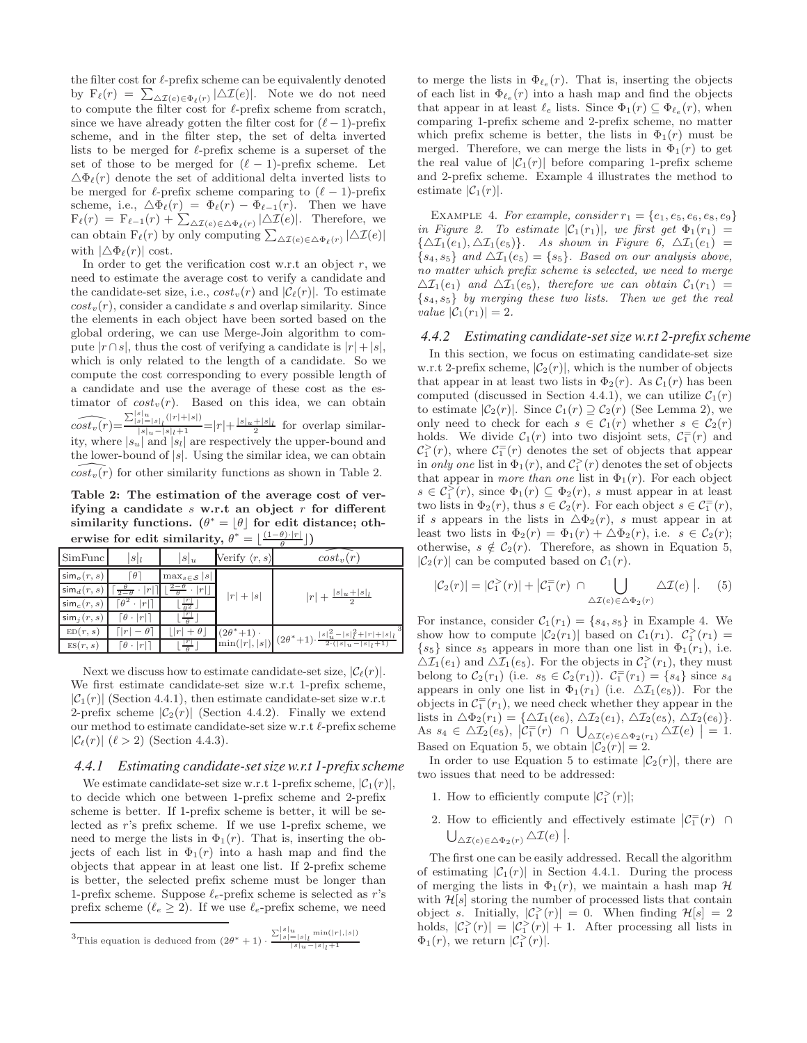the filter cost for  $\ell$ -prefix scheme can be equivalently denoted by  $F_{\ell}(r) = \sum_{\Delta T(e) \in \Phi_{\ell}(r)} |\Delta T(e)|$ . Note we do not need to compute the filter cost for  $\ell$ -prefix scheme from scratch, since we have already gotten the filter cost for  $(\ell-1)$ -prefix scheme, and in the filter step, the set of delta inverted lists to be merged for  $\ell$ -prefix scheme is a superset of the set of those to be merged for  $(\ell-1)$ -prefix scheme. Let  $\Delta \Phi_{\ell}(r)$  denote the set of additional delta inverted lists to be merged for  $\ell$ -prefix scheme comparing to  $(\ell - 1)$ -prefix scheme, i.e.,  $\Delta \Phi_{\ell}(r) = \Phi_{\ell}(r) - \Phi_{\ell-1}(r)$ . Then we have  $F_{\ell}(r) = F_{\ell-1}(r) + \sum_{\Delta \mathcal{I}(e) \in \Delta \Phi_{\ell}(r)} |\Delta \mathcal{I}(e)|$ . Therefore, we can obtain  $F_{\ell}(r)$  by only computing  $\sum_{\Delta \mathcal{I}(e) \in \Delta \Phi_{\ell}(r)} |\Delta \mathcal{I}(e)|$ with  $|\Delta \Phi_{\ell}(r)|$  cost.

In order to get the verification cost w.r.t an object  $r$ , we need to estimate the average cost to verify a candidate and the candidate-set size, i.e.,  $cost_v(r)$  and  $|\mathcal{C}_{\ell}(r)|$ . To estimate  $cost_v(r)$ , consider a candidate s and overlap similarity. Since the elements in each object have been sorted based on the global ordering, we can use Merge-Join algorithm to compute  $|r \cap s|$ , thus the cost of verifying a candidate is  $|r|+|s|$ , which is only related to the length of a candidate. So we compute the cost corresponding to every possible length of a candidate and use the average of these cost as the estimator of  $cost_v(r)$ . Based on this idea, we can obtain  $\widehat{cost_v(r)} = \frac{\sum_{|s|=|s|_l}^{s|_s} (|r|+|s|)}{|s|_u-|s|_l+1} = |r| + \frac{|s|_u+|s|_l}{2}$  for overlap similarity, where  $|s_u|$  and  $|s_l|$  are respectively the upper-bound and the lower-bound of  $|s|$ . Using the similar idea, we can obtain  $cost_v(r)$  for other similarity functions as shown in Table 2.

Table 2: The estimation of the average cost of verifying a candidate  $s$  w.r.t an object  $r$  for different similarity functions.  $(\theta^* = \lfloor \theta \rfloor \text{ for edit distance; oth-}$  $\textbf{erwise for edit similarity}, \ \theta^* = \lfloor \frac{(1-\theta)\cdot |r|}{\theta} \rfloor)$ 

| SimFunc                                                               | $ s _l$                            | $ s _u$                | Verify $\langle r, s \rangle$ | $cost_v(r)$                                                                                                                    |
|-----------------------------------------------------------------------|------------------------------------|------------------------|-------------------------------|--------------------------------------------------------------------------------------------------------------------------------|
| $\mathsf{sim}_o(r,s)$                                                 | Γθ1                                | $\max_{s \in S}  s $   |                               |                                                                                                                                |
| $\left[\sin\frac{1}{2}\right]$ $\left[\frac{\theta}{2-\theta}\right]$ | r                                  | r                      | $ r + s $                     | $ r  + \frac{ s _u +  s _l}{2}$                                                                                                |
| $\sin_c(r, s)$                                                        | $\lceil \theta^2 \cdot  r  \rceil$ | $\overline{a^2}$ .     |                               |                                                                                                                                |
| $\sin(i, s)$                                                          | $\theta \cdot  r $                 | $\frac{ r }{\theta}$   |                               |                                                                                                                                |
| ED(r, s)                                                              | $-\theta$ ]                        | $ r  + \theta $        | $(2\theta^*+1)$ .             | $\binom{(2\theta^*+1)}{\min( r , s )} (2\theta^*+1) \cdot \frac{ s _u^2 -  s _l^2 +  r  +  s _l}{2 \cdot ( s _u -  s _l + 1)}$ |
| ES(r, s)                                                              | $\theta \cdot  r $                 | $\frac{ r }{\theta}$ . |                               |                                                                                                                                |

Next we discuss how to estimate candidate-set size,  $|\mathcal{C}_{\ell}(r)|$ . We first estimate candidate-set size w.r.t 1-prefix scheme,  $|\mathcal{C}_1(r)|$  (Section 4.4.1), then estimate candidate-set size w.r.t 2-prefix scheme  $|\mathcal{C}_2(r)|$  (Section 4.4.2). Finally we extend our method to estimate candidate-set size w.r.t ℓ-prefix scheme  $|\mathcal{C}_{\ell}(r)|$   $(\ell > 2)$  (Section 4.4.3).

#### *4.4.1 Estimating candidate-set size w.r.t 1-prefix scheme*

We estimate candidate-set size w.r.t 1-prefix scheme,  $|\mathcal{C}_1(r)|$ , to decide which one between 1-prefix scheme and 2-prefix scheme is better. If 1-prefix scheme is better, it will be selected as r's prefix scheme. If we use 1-prefix scheme, we need to merge the lists in  $\Phi_1(r)$ . That is, inserting the objects of each list in  $\Phi_1(r)$  into a hash map and find the objects that appear in at least one list. If 2-prefix scheme is better, the selected prefix scheme must be longer than 1-prefix scheme. Suppose  $\ell_e$ -prefix scheme is selected as r's prefix scheme ( $\ell_e > 2$ ). If we use  $\ell_e$ -prefix scheme, we need

to merge the lists in  $\Phi_{\ell_e}(r)$ . That is, inserting the objects of each list in  $\Phi_{\ell_e}(r)$  into a hash map and find the objects that appear in at least  $\ell_e$  lists. Since  $\Phi_1(r) \subseteq \Phi_{\ell_e}(r)$ , when comparing 1-prefix scheme and 2-prefix scheme, no matter which prefix scheme is better, the lists in  $\Phi_1(r)$  must be merged. Therefore, we can merge the lists in  $\Phi_1(r)$  to get the real value of  $|\mathcal{C}_1(r)|$  before comparing 1-prefix scheme and 2-prefix scheme. Example 4 illustrates the method to estimate  $|\mathcal{C}_1(r)|$ .

EXAMPLE 4. *For example, consider*  $r_1 = \{e_1, e_5, e_6, e_8, e_9\}$ *in Figure 2. To estimate*  $|\mathcal{C}_1(r_1)|$ *, we first get*  $\Phi_1(r_1)$  =  ${\Delta\mathcal{I}_1(e_1), \Delta\mathcal{I}_1(e_5)}$ *. As shown in Figure 6,*  ${\Delta\mathcal{I}_1(e_1)}$  =  $\{s_4, s_5\}$  and  $\Delta\mathcal{I}_1(e_5) = \{s_5\}$ . Based on our analysis above, *no matter which prefix scheme is selected, we need to merge*  $\Delta\mathcal{I}_1(e_1)$  and  $\Delta\mathcal{I}_1(e_5)$ , therefore we can obtain  $\mathcal{C}_1(r_1)$  = {s4, s5} *by merging these two lists. Then we get the real value*  $|C_1(r_1)| = 2$ *.* 

#### *4.4.2 Estimating candidate-set size w.r.t 2-prefix scheme*

In this section, we focus on estimating candidate-set size w.r.t 2-prefix scheme,  $|\mathcal{C}_2(r)|$ , which is the number of objects that appear in at least two lists in  $\Phi_2(r)$ . As  $C_1(r)$  has been computed (discussed in Section 4.4.1), we can utilize  $C_1(r)$ to estimate  $|\mathcal{C}_2(r)|$ . Since  $\mathcal{C}_1(r) \supseteq \mathcal{C}_2(r)$  (See Lemma 2), we only need to check for each  $s \in C_1(r)$  whether  $s \in C_2(r)$ holds. We divide  $C_1(r)$  into two disjoint sets,  $C_1^=(r)$  and  $\mathcal{C}_1^>(r)$ , where  $\mathcal{C}_1^=(r)$  denotes the set of objects that appear in *only one* list in  $\Phi_1(r)$ , and  $\mathcal{C}_1^>(r)$  denotes the set of objects that appear in *more than one* list in  $\Phi_1(r)$ . For each object  $s \in C_1^>(r)$ , since  $\Phi_1(r) \subseteq \Phi_2(r)$ , s must appear in at least two lists in  $\Phi_2(r)$ , thus  $s \in C_2(r)$ . For each object  $s \in C_1^-(r)$ , if s appears in the lists in  $\Delta \Phi_2(r)$ , s must appear in at least two lists in  $\Phi_2(r) = \Phi_1(r) + \Delta \Phi_2(r)$ , i.e.  $s \in C_2(r)$ ; otherwise,  $s \notin C_2(r)$ . Therefore, as shown in Equation 5,  $|\mathcal{C}_2(r)|$  can be computed based on  $\mathcal{C}_1(r)$ .

$$
|\mathcal{C}_2(r)| = |\mathcal{C}_1^>(r)| + |\mathcal{C}_1^=(r) \cap \bigcup_{\Delta \mathcal{I}(e) \in \Delta \Phi_2(r)} \Delta \mathcal{I}(e) |.
$$
 (5)

For instance, consider  $C_1(r_1) = \{s_4, s_5\}$  in Example 4. We show how to compute  $|\mathcal{C}_2(r_1)|$  based on  $\mathcal{C}_1(r_1)$ .  $\mathcal{C}_1^>(r_1)$  =  $\{s_5\}$  since  $s_5$  appears in more than one list in  $\Phi_1(r_1)$ , i.e.  $\Delta \mathcal{I}_1(e_1)$  and  $\Delta \mathcal{I}_1(e_5)$ . For the objects in  $\mathcal{C}_1^>(r_1)$ , they must belong to  $C_2(r_1)$  (i.e.  $s_5 \in C_2(r_1)$ ).  $C_1^=(r_1) = \{s_4\}$  since  $s_4$ appears in only one list in  $\Phi_1(r_1)$  (i.e.  $\Delta \mathcal{I}_1(e_5)$ ). For the objects in  $\mathcal{C}_1^=(r_1)$ , we need check whether they appear in the lists in  $\Delta\Phi_2(r_1) = {\Delta\mathcal{I}_1(e_6), \Delta\mathcal{I}_2(e_1), \Delta\mathcal{I}_2(e_5), \Delta\mathcal{I}_2(e_6)}.$ As  $s_4 \in \Delta \mathcal{I}_2(e_5)$ ,  $|\mathcal{C}_1^=(r) \cap \bigcup_{\Delta \mathcal{I}(e) \in \Delta \Phi_2(r_1)} \Delta \mathcal{I}(e) | = 1$ . Based on Equation 5, we obtain  $|\mathcal{C}_2(r)| = 2$ .

In order to use Equation 5 to estimate  $|\mathcal{C}_2(r)|$ , there are two issues that need to be addressed:

- 1. How to efficiently compute  $|\mathcal{C}_1^>(r)|$ ;
- 2. How to efficiently and effectively estimate  $\left| \mathcal{C}_1^{\equiv}(r) \right| \cap$  $\bigcup_{\Delta \mathcal{I}(e) \in \Delta \Phi_2(r)} \Delta \mathcal{I}(e)$ .

The first one can be easily addressed. Recall the algorithm of estimating  $|\mathcal{C}_1(r)|$  in Section 4.4.1. During the process of merging the lists in  $\Phi_1(r)$ , we maintain a hash map  $\mathcal H$ with  $\mathcal{H}[s]$  storing the number of processed lists that contain object s. Initially,  $|\mathcal{C}_1^>(r)| = 0$ . When finding  $\mathcal{H}[s] = 2$ holds,  $|\mathcal{C}_1^>(r)| = |\mathcal{C}_1^>(r)| + 1$ . After processing all lists in  $\Phi_1(r)$ , we return  $|\mathcal{C}_1^>(r)|$ .

<sup>&</sup>lt;sup>3</sup>This equation is deduced from  $(2\theta^* + 1) \cdot \frac{\sum_{|s|=|s|}^{|s|} \min(|r|,|s|)}{\frac{|s|-s|}{|s|-s|+1}}$  $|s|_u-|s|_l+1$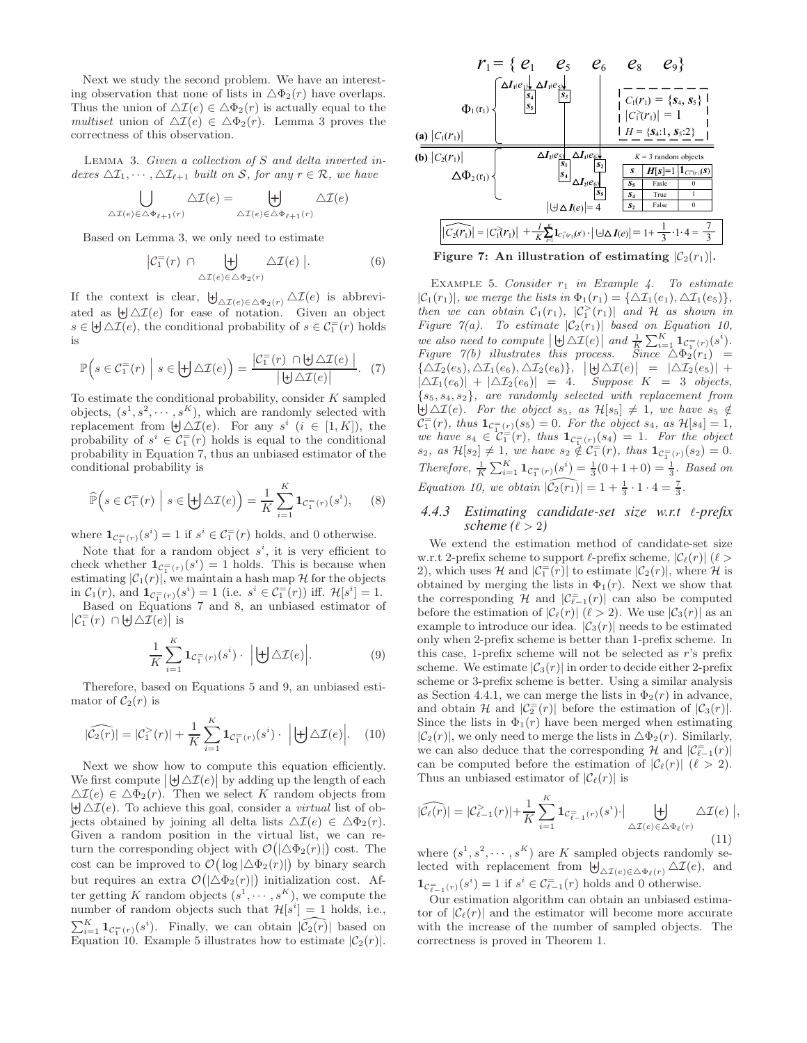Next we study the second problem. We have an interesting observation that none of lists in  $\Delta \Phi_2(r)$  have overlaps. Thus the union of  $\Delta \mathcal{I}(e) \in \Delta \Phi_2(r)$  is actually equal to the *multiset* union of  $\Delta \mathcal{I}(e) \in \Delta \Phi_2(r)$ . Lemma 3 proves the correctness of this observation.

Lemma 3. *Given a collection of* S *and delta inverted indexes*  $\Delta \mathcal{I}_1, \cdots, \Delta \mathcal{I}_{\ell+1}$  *built on* S, for any  $r \in \mathcal{R}$ , we have

$$
\bigcup_{\Delta \mathcal{I}(e) \in \Delta \Phi_{\ell+1}(r)} \Delta \mathcal{I}(e) = \biguplus_{\Delta \mathcal{I}(e) \in \Delta \Phi_{\ell+1}(r)} \Delta \mathcal{I}(e)
$$

Based on Lemma 3, we only need to estimate

$$
\left| \mathcal{C}_1^=(r) \cap \biguplus_{\Delta \mathcal{I}(e) \in \Delta \Phi_2(r)} \Delta \mathcal{I}(e) \right|.
$$
 (6)

If the context is clear,  $\biguplus_{\Delta \mathcal{I}(e) \in \Delta \Phi_2(r)} \Delta \mathcal{I}(e)$  is abbreviated as  $\biguplus \Delta \mathcal{I}(e)$  for ease of notation. Given an object  $s \in \biguplus \Delta \mathcal{I}(e)$ , the conditional probability of  $s \in \mathcal{C}_1^-(r)$  holds is

$$
\mathbb{P}\Big(s \in \mathcal{C}_1^=(r) \mid s \in \biguplus \Delta \mathcal{I}(e)\Big) = \frac{\left|\mathcal{C}_1^=(r) \cap \biguplus \Delta \mathcal{I}(e)\right|}{\left|\biguplus \Delta \mathcal{I}(e)\right|}.\tag{7}
$$

To estimate the conditional probability, consider  $K$  sampled objects,  $(s^1, s^2, \dots, s^K)$ , which are randomly selected with replacement from  $\biguplus \Delta \mathcal{I}(e)$ . For any  $s^i$   $(i \in [1, K])$ , the probability of  $s^i \in C_1^-(r)$  holds is equal to the conditional probability in Equation 7, thus an unbiased estimator of the conditional probability is

$$
\widehat{\mathbb{P}}\Big(s \in \mathcal{C}_1^-(r) \mid s \in \biguplus \Delta \mathcal{I}(e)\Big) = \frac{1}{K} \sum_{i=1}^K \mathbf{1}_{\mathcal{C}_1^-(r)}(s^i), \qquad (8)
$$

where  $1_{\mathcal{C}^-_1(r)}(s^i) = 1$  if  $s^i \in \mathcal{C}^-_1(r)$  holds, and 0 otherwise.

Note that for a random object  $s^i$ , it is very efficient to check whether  $\mathbf{1}_{\mathcal{C}_{1}^{=}(r)}(s^{i})=1$  holds. This is because when estimating  $|\mathcal{C}_1(r)|$ , we maintain a hash map  $\mathcal H$  for the objects in  $C_1(r)$ , and  $\mathbf{1}_{C_1^=(r)}(s^i) = 1$  (i.e.  $s^i \in C_1^=(r)$ ) iff.  $\mathcal{H}[s^i] = 1$ .

Based on Equations 7 and 8, an unbiased estimator of  $\left|\mathcal{C}_1^=(r) \cap \biguplus \Delta \mathcal{I}(e)\right|$  is

$$
\frac{1}{K} \sum_{i=1}^{K} \mathbf{1}_{\mathcal{C}_{1}^{=}(r)}(s^{i}) \cdot \left| \biguplus \Delta \mathcal{I}(e) \right|.
$$
 (9)

Therefore, based on Equations 5 and 9, an unbiased estimator of  $C_2(r)$  is

$$
|\widehat{\mathcal{C}_2(r)}| = |\mathcal{C}_1^>(r)| + \frac{1}{K} \sum_{i=1}^K \mathbf{1}_{\mathcal{C}_1^=(r)}(s^i) \cdot \left| \biguplus \Delta \mathcal{I}(e) \right|.
$$
 (10)

Next we show how to compute this equation efficiently. We first compute  $|\biguplus \Delta \mathcal{I}(e)|$  by adding up the length of each  $\Delta \mathcal{I}(e) \in \Delta \Phi_2(r)$ . Then we select K random objects from  $\biguplus \Delta \mathcal{I}(e)$ . To achieve this goal, consider a *virtual* list of objects obtained by joining all delta lists  $\Delta \mathcal{I}(e) \in \Delta \Phi_2(r)$ . Given a random position in the virtual list, we can return the corresponding object with  $\mathcal{O}(|\Delta \Phi_2(r)|)$  cost. The cost can be improved to  $\mathcal{O}(|\log|\triangle \Phi_2(r)|)$  by binary search but requires an extra  $\mathcal{O}(|\Delta \Phi_2(r)|)$  initialization cost. After getting K random objects  $(s^1, \dots, s^K)$ , we compute the number of random objects such that  $\mathcal{H}[s^i] = 1$  holds, i.e.,  $\sum_{i=1}^K \mathbf{1}_{\mathcal{C}_1^{\equiv}(r)}(s^i)$ . Finally, we can obtain  $|\widehat{\mathcal{C}_2(r)}|$  based on  $\mathcal{L}_{i=1}^{i=1}$  =  $C_1$  (r)( $\epsilon$ ). The ratios, we can see the leads of  $|C_2(r)|$ .



Figure 7: An illustration of estimating  $|\mathcal{C}_2(r_1)|$ .

EXAMPLE 5. *Consider*  $r_1$  *in Example 4. To estimate*  $|\mathcal{C}_1(r_1)|$ *, we merge the lists in*  $\Phi_1(r_1) = {\Delta \mathcal{I}_1(e_1), \Delta \mathcal{I}_1(e_5)},$ *then we can obtain*  $C_1(r_1)$ ,  $|C_1^>(r_1)|$  *and*  $H$  *as shown in Figure 7(a). To estimate*  $|\mathcal{C}_2(r_1)|$  *based on Equation 10,* we also need to compute  $|\,\,\biguplus \Delta \mathcal{I}(e)\,|$  and  $\frac{1}{K} \sum_{i=1}^{K} \mathbf{1}_{\mathcal{C}_1^{\equiv}(r)}(s^i)$ . *Figure 7(b) illustrates this process. Since*  $\Delta \Phi_2(r_1)$  =  ${\{\Delta {\cal I}_2(e_5),\Delta {\cal I}_1(e_6),\Delta {\cal I}_2(e_6)\}}$ ,  $\left|\biguplus \Delta {\cal I}(e)\right| = |\Delta {\cal I}_2(e_5)| +$  $|\Delta \mathcal{I}_1(e_6)| + |\Delta \mathcal{I}_2(e_6)| = 4$ . Suppose  $K = 3$  objects,  $\{s_5, s_4, s_2\}$ , are randomly selected with replacement from  $\{\mathfrak{s}_5, \mathfrak{s}_4, \mathfrak{s}_2\}$ , are randomly selected with replacement from  $\biguplus \Delta \mathcal{I}(e)$ . For the object  $\mathfrak{s}_5$ , as  $\mathcal{H}[s_5] \neq 1$ , we have  $\mathfrak{s}_5 \notin$  $\bar{C}_1^{\equiv}(r)$ *, thus*  $1_{\bar{C}_{1}^{\equiv}(r)}(s_5) = 0$ *. For the object*  $s_4$ *, as*  $\mathcal{H}[s_4] = 1$ *, we have*  $s_4 \in C_1^=(r)$ *, thus*  $1_{C_1^=(r)}(s_4) = 1$ *. For the object*  $s_2$ , as  $\mathcal{H}[s_2] \neq 1$ , we have  $s_2 \notin \widetilde{\mathcal{C}_1^{-}}(r)$ , thus  $\mathbf{1}_{\mathcal{C}_1^{-}(r)}(s_2) = 0$ . *Therefore,*  $\frac{1}{K} \sum_{i=1}^{K} \mathbf{1}_{\mathcal{C}_{1}^{=}(r)}(s^{i}) = \frac{1}{3}(0+1+0) = \frac{1}{3}$ *. Based on Equation 10, we obtain*  $|\widehat{\mathcal{C}_2(r_1)}| = 1 + \frac{1}{3} \cdot 1 \cdot 4 = \frac{7}{3}$ .

#### *4.4.3 Estimating candidate-set size w.r.t* ℓ*-prefix scheme*  $(\ell > 2)$

We extend the estimation method of candidate-set size w.r.t 2-prefix scheme to support  $\ell$ -prefix scheme,  $|\mathcal{C}_{\ell}(r)|$  ( $\ell >$ 2), which uses  $\mathcal{H}$  and  $|\mathcal{C}_1^-(r)|$  to estimate  $|\mathcal{C}_2(r)|$ , where  $\mathcal{H}$  is obtained by merging the lists in  $\Phi_1(r)$ . Next we show that the corresponding H and  $|\mathcal{C}_{\ell-1}^{\equiv}(r)|$  can also be computed before the estimation of  $|\mathcal{C}_{\ell}(r)|$  ( $\ell > 2$ ). We use  $|\mathcal{C}_{3}(r)|$  as an example to introduce our idea.  $|\mathcal{C}_3(r)|$  needs to be estimated only when 2-prefix scheme is better than 1-prefix scheme. In this case, 1-prefix scheme will not be selected as r's prefix scheme. We estimate  $|\mathcal{C}_3(r)|$  in order to decide either 2-prefix scheme or 3-prefix scheme is better. Using a similar analysis as Section 4.4.1, we can merge the lists in  $\Phi_2(r)$  in advance, and obtain H and  $|\mathcal{C}_2^=(r)|$  before the estimation of  $|\mathcal{C}_3(r)|$ . Since the lists in  $\Phi_1(r)$  have been merged when estimating  $|\mathcal{C}_2(r)|$ , we only need to merge the lists in  $\Delta\Phi_2(r)$ . Similarly, we can also deduce that the corresponding  $\mathcal H$  and  $|\mathcal C_{\ell-1}^=(r)|$ can be computed before the estimation of  $|\mathcal{C}_{\ell}(r)|$  ( $\ell > 2$ ). Thus an unbiased estimator of  $|\mathcal{C}_{\ell}(r)|$  is

$$
|\widehat{\mathcal{C}_{\ell}(r)}| = |\mathcal{C}_{\ell-1}^{>}(r)| + \frac{1}{K} \sum_{i=1}^{K} \mathbf{1}_{\mathcal{C}_{\ell-1}^{-}(r)}(s^i) \cdot \Big| \biguplus_{\Delta \mathcal{I}(e) \in \Delta \Phi_{\ell}(r)} \Delta \mathcal{I}(e) \Big|,
$$
\n(11)

where  $(s^1, s^2, \dots, s^K)$  are K sampled objects randomly se-<br>lected with replacement from  $\biguplus_{\Delta \mathcal{I}(e) \in \Delta \Phi_{\ell}(r)} \Delta \mathcal{I}(e)$ , and  $1_{\mathcal{C}_{\ell-1}^{\equiv}(r)}(s^i) = 1$  if  $s^i \in \mathcal{C}_{\ell-1}^{\equiv}(r)$  holds and 0 otherwise.

Our estimation algorithm can obtain an unbiased estimator of  $|\mathcal{C}_{\ell}(r)|$  and the estimator will become more accurate with the increase of the number of sampled objects. The correctness is proved in Theorem 1.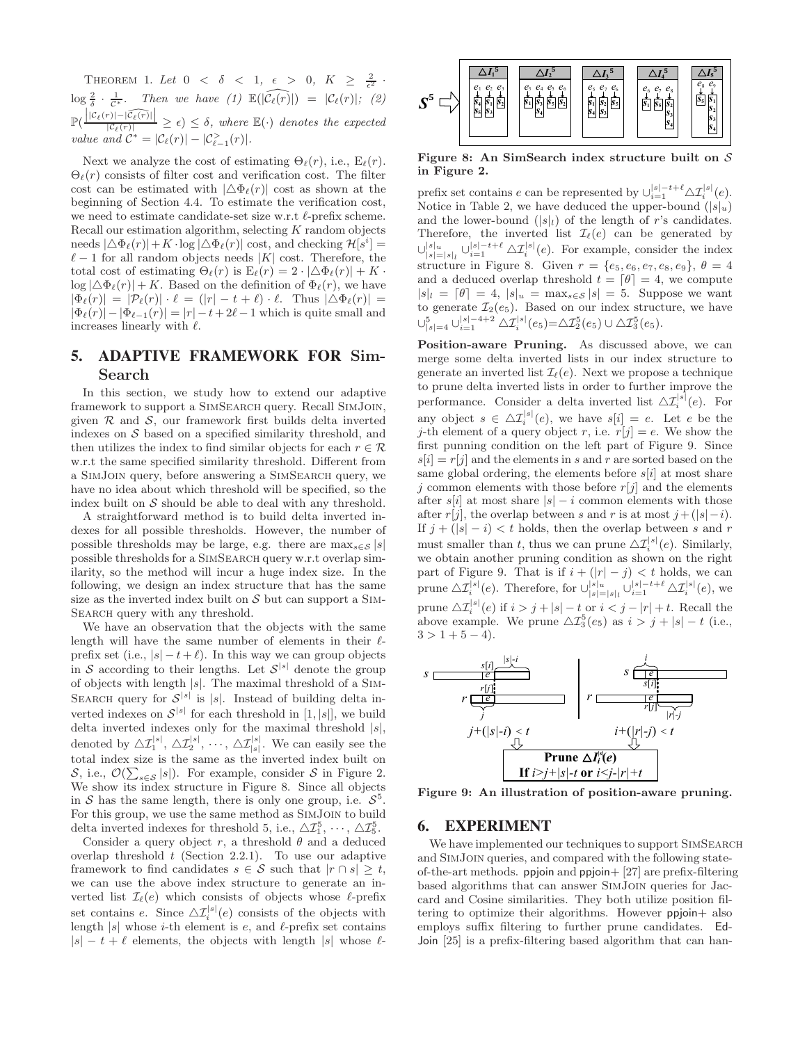THEOREM 1. Let  $0 < \delta < 1, \epsilon > 0, K \geq \frac{2}{\epsilon^2}$  $\frac{1}{\epsilon^2}$  ·  $\log \frac{2}{\delta} \cdot \frac{1}{\mathcal{C}^*}$ . Then we have (1)  $\mathbb{E}(|\widehat{\mathcal{C}_{\ell}(r)}|) = |\mathcal{C}_{\ell}(r)|$ ; (2)  $\mathbb{P}(\frac{|C_{\ell}(r)|-|\widehat{C_{\ell}(r)}|}{|C_{\ell}(r)|} \geq \epsilon) \leq \delta$ , where  $\mathbb{E}(\cdot)$  denotes the expected *value and*  $C^* = |\mathcal{C}_{\ell}(r)| - |\mathcal{C}_{\ell-1}^>(r)|.$ 

Next we analyze the cost of estimating  $\Theta_{\ell}(r)$ , i.e.,  $E_{\ell}(r)$ .  $\Theta_{\ell}(r)$  consists of filter cost and verification cost. The filter cost can be estimated with  $|\Delta \Phi_{\ell}(r)|$  cost as shown at the beginning of Section 4.4. To estimate the verification cost, we need to estimate candidate-set size w.r.t  $\ell$ -prefix scheme. Recall our estimation algorithm, selecting  $K$  random objects needs  $|\Delta \Phi_{\ell}(r)| + K \cdot \log |\Delta \Phi_{\ell}(r)| \text{ cost, and checking } \mathcal{H}[s^i] =$  $\ell-1$  for all random objects needs |K| cost. Therefore, the total cost of estimating  $\Theta_{\ell}(r)$  is  $E_{\ell}(r) = 2 \cdot |\Delta \Phi_{\ell}(r)| + K$ .  $\log |\Delta \Phi_{\ell}(r)| + K$ . Based on the definition of  $\Phi_{\ell}(r)$ , we have  $|\Phi_{\ell}(r)| = |\mathcal{P}_{\ell}(r)| \cdot \ell = (|r| - t + \ell) \cdot \ell$ . Thus  $|\Delta \Phi_{\ell}(r)| =$  $|\Phi_{\ell}(r)| - |\Phi_{\ell-1}(r)| = |r| - t + 2\ell - 1$  which is quite small and increases linearly with  $\ell$ .

# **5. ADAPTIVE FRAMEWORK FOR** Sim-Search

In this section, we study how to extend our adaptive framework to support a SimSearch query. Recall SimJoin, given  $R$  and  $S$ , our framework first builds delta inverted indexes on  $S$  based on a specified similarity threshold, and then utilizes the index to find similar objects for each  $r \in \mathcal{R}$ w.r.t the same specified similarity threshold. Different from a SimJoin query, before answering a SimSearch query, we have no idea about which threshold will be specified, so the index built on  $S$  should be able to deal with any threshold.

A straightforward method is to build delta inverted indexes for all possible thresholds. However, the number of possible thresholds may be large, e.g. there are  $\max_{s \in \mathcal{S}} |s|$ possible thresholds for a SimSearch query w.r.t overlap similarity, so the method will incur a huge index size. In the following, we design an index structure that has the same size as the inverted index built on  $S$  but can support a SIM-SEARCH query with any threshold.

We have an observation that the objects with the same length will have the same number of elements in their  $\ell$ prefix set (i.e.,  $|s| - t + \ell$ ). In this way we can group objects in S according to their lengths. Let  $S^{[s]}$  denote the group of objects with length  $|s|$ . The maximal threshold of a SIM-SEARCH query for  $S^{|s|}$  is |s|. Instead of building delta inverted indexes on  $\mathcal{S}^{|s|}$  for each threshold in [1, |s|], we build delta inverted indexes only for the maximal threshold  $|s|$ , denoted by  $\Delta \mathcal{I}_1^{[s]}, \Delta \mathcal{I}_2^{[s]}, \cdots, \Delta \mathcal{I}_{[s]}^{[s]}$ . We can easily see the total index size is the same as the inverted index built on  $S$ , i.e.,  $\mathcal{O}(\sum_{s \in S} |s|)$ . For example, consider S in Figure 2. We show its index structure in Figure 8. Since all objects in S has the same length, there is only one group, i.e.  $S^5$ . For this group, we use the same method as SimJoin to build delta inverted indexes for threshold 5, i.e.,  $\Delta \mathcal{I}_1^5$ ,  $\cdots$ ,  $\Delta \mathcal{I}_5^5$ .

Consider a query object r, a threshold  $\theta$  and a deduced overlap threshold  $t$  (Section 2.2.1). To use our adaptive framework to find candidates  $s \in \mathcal{S}$  such that  $|r \cap s| \geq t$ , we can use the above index structure to generate an inverted list  $\mathcal{I}_{\ell}(e)$  which consists of objects whose  $\ell$ -prefix set contains e. Since  $\Delta \mathcal{I}_i^{|s|}(e)$  consists of the objects with length  $|s|$  whose *i*-th element is *e*, and  $\ell$ -prefix set contains  $|s| - t + \ell$  elements, the objects with length  $|s|$  whose  $\ell$ -



Figure 8: An SimSearch index structure built on  $S$ in Figure 2.

prefix set contains e can be represented by  $\cup_{i=1}^{|s|-t+\ell} \Delta \mathcal{I}_i^{|s|}(e)$ . Notice in Table 2, we have deduced the upper-bound  $(|s|_u)$ and the lower-bound  $(|s|_l)$  of the length of r's candidates. Therefore, the inverted list  $\mathcal{I}_{\ell}(e)$  can be generated by  $\cup_{|s|=|s|_l}^{|s|_u} \cup_{i=1}^{|s|-t+\ell} \Delta \mathcal{I}_i^{|s|}(e)$ . For example, consider the index structure in Figure 8. Given  $r = \{e_5, e_6, e_7, e_8, e_9\}, \theta = 4$ and a deduced overlap threshold  $t = \lfloor \theta \rfloor = 4$ , we compute  $|s|_l = \lfloor \theta \rfloor = 4$ ,  $|s|_u = \max_{s \in \mathcal{S}} |s| = 5$ . Suppose we want to generate  $\mathcal{I}_2(e_5)$ . Based on our index structure, we have  $\cup_{|s|=4}^5 \cup_{i=1}^{|s|-4+2} \Delta \mathcal{I}_i^{|s|}(e_5) = \Delta \mathcal{I}_2^5(e_5) \cup \Delta \mathcal{I}_3^5(e_5).$ 

Position-aware Pruning. As discussed above, we can merge some delta inverted lists in our index structure to generate an inverted list  $\mathcal{I}_{\ell}(e)$ . Next we propose a technique to prune delta inverted lists in order to further improve the performance. Consider a delta inverted list  $\Delta \mathcal{I}_i^{[s]}(e)$ . For any object  $s \in \Delta \mathcal{I}_i^{|s|}(e)$ , we have  $s[i] = e$ . Let e be the j-th element of a query object r, i.e.  $r[j] = e$ . We show the first punning condition on the left part of Figure 9. Since  $s[i] = r[i]$  and the elements in s and r are sorted based on the same global ordering, the elements before  $s[i]$  at most share i common elements with those before  $r[i]$  and the elements after s[i] at most share  $|s| - i$  common elements with those after r[j], the overlap between s and r is at most  $j+(|s|-i)$ . If  $j + (|s| - i) < t$  holds, then the overlap between s and r must smaller than t, thus we can prune  $\Delta \mathcal{I}_i^{[s]}(e)$ . Similarly, we obtain another pruning condition as shown on the right part of Figure 9. That is if  $i + (|r| - j) < t$  holds, we can prune  $\Delta \mathcal{I}_i^{|s|}(e)$ . Therefore, for  $\bigcup_{|s|=|s|_l}^{|s|_u} \bigcup_{i=1}^{|s|-t+\ell} \Delta \mathcal{I}_i^{|s|}(e)$ , we prune  $\Delta \mathcal{I}_i^{[s]}(e)$  if  $i > j + |s| - t$  or  $i < j - |r| + t$ . Recall the above example. We prune  $\Delta \mathcal{I}_3^5(e_5)$  as  $i > j + |s| - t$  (i.e.,  $3 > 1 + 5 - 4$ .



Figure 9: An illustration of position-aware pruning.

# **6. EXPERIMENT**

We have implemented our techniques to support SIMSEARCH and SimJoin queries, and compared with the following stateof-the-art methods. ppjoin and ppjoin+ [27] are prefix-filtering based algorithms that can answer SimJoin queries for Jaccard and Cosine similarities. They both utilize position filtering to optimize their algorithms. However ppjoin+ also employs suffix filtering to further prune candidates. Ed-Join [25] is a prefix-filtering based algorithm that can han-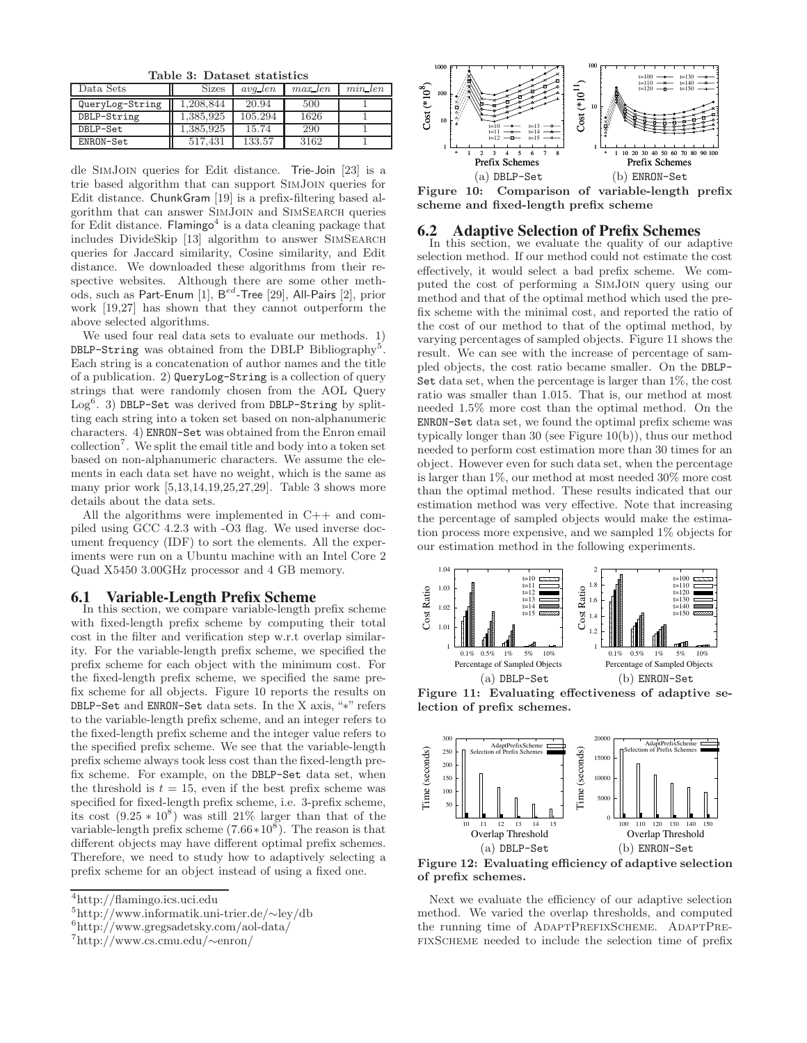Table 3: Dataset statistics

| Data Sets       | <b>Sizes</b> | $avq\_len$ | $max\_len$ | $min\_len$ |
|-----------------|--------------|------------|------------|------------|
| QueryLog-String | .208.844     | 20.94      | 500        |            |
| DBLP-String     | 1,385,925    | 105.294    | 1626       |            |
| DBLP-Set        | 1,385,925    | 15.74      | 290        |            |
| ENRON-Set       | 517.431      | 133.57     | 3162       |            |

dle SimJoin queries for Edit distance. Trie-Join [23] is a trie based algorithm that can support SimJoin queries for Edit distance. ChunkGram [19] is a prefix-filtering based algorithm that can answer SimJoin and SimSearch queries for Edit distance. Flamingo<sup>4</sup> is a data cleaning package that includes DivideSkip [13] algorithm to answer SimSearch queries for Jaccard similarity, Cosine similarity, and Edit distance. We downloaded these algorithms from their respective websites. Although there are some other methods, such as Part-Enum  $[1]$ ,  $\mathsf{B}^{ed}\text{-}$ Tree  $[29]$ , All-Pairs  $[2]$ , prior work [19,27] has shown that they cannot outperform the above selected algorithms.

We used four real data sets to evaluate our methods. 1) DBLP-String was obtained from the DBLP Bibliography<sup>5</sup>. Each string is a concatenation of author names and the title of a publication. 2) QueryLog-String is a collection of query strings that were randomly chosen from the AOL Query Log<sup>6</sup>. 3) DBLP-Set was derived from DBLP-String by splitting each string into a token set based on non-alphanumeric characters. 4) ENRON-Set was obtained from the Enron email collection<sup>7</sup> . We split the email title and body into a token set based on non-alphanumeric characters. We assume the elements in each data set have no weight, which is the same as many prior work [5,13,14,19,25,27,29]. Table 3 shows more details about the data sets.

All the algorithms were implemented in C++ and compiled using GCC 4.2.3 with -O3 flag. We used inverse document frequency (IDF) to sort the elements. All the experiments were run on a Ubuntu machine with an Intel Core 2 Quad X5450 3.00GHz processor and 4 GB memory.

#### **6.1 Variable-Length Prefix Scheme**

In this section, we compare variable-length prefix scheme with fixed-length prefix scheme by computing their total cost in the filter and verification step w.r.t overlap similarity. For the variable-length prefix scheme, we specified the prefix scheme for each object with the minimum cost. For the fixed-length prefix scheme, we specified the same prefix scheme for all objects. Figure 10 reports the results on DBLP-Set and ENRON-Set data sets. In the X axis, "∗" refers to the variable-length prefix scheme, and an integer refers to the fixed-length prefix scheme and the integer value refers to the specified prefix scheme. We see that the variable-length prefix scheme always took less cost than the fixed-length prefix scheme. For example, on the DBLP-Set data set, when the threshold is  $t = 15$ , even if the best prefix scheme was specified for fixed-length prefix scheme, i.e. 3-prefix scheme, its cost  $(9.25 * 10^8)$  was still 21% larger than that of the variable-length prefix scheme  $(7.66 \times 10^8)$ . The reason is that different objects may have different optimal prefix schemes. Therefore, we need to study how to adaptively selecting a prefix scheme for an object instead of using a fixed one.



Figure 10: Comparison of variable-length prefix scheme and fixed-length prefix scheme

# **6.2 Adaptive Selection of Prefix Schemes**

In this section, we evaluate the quality of our adaptive selection method. If our method could not estimate the cost effectively, it would select a bad prefix scheme. We computed the cost of performing a SimJoin query using our method and that of the optimal method which used the prefix scheme with the minimal cost, and reported the ratio of the cost of our method to that of the optimal method, by varying percentages of sampled objects. Figure 11 shows the result. We can see with the increase of percentage of sampled objects, the cost ratio became smaller. On the DBLP-Set data set, when the percentage is larger than 1%, the cost ratio was smaller than 1.015. That is, our method at most needed 1.5% more cost than the optimal method. On the ENRON-Set data set, we found the optimal prefix scheme was typically longer than 30 (see Figure 10(b)), thus our method needed to perform cost estimation more than 30 times for an object. However even for such data set, when the percentage is larger than 1%, our method at most needed 30% more cost than the optimal method. These results indicated that our estimation method was very effective. Note that increasing the percentage of sampled objects would make the estimation process more expensive, and we sampled 1% objects for our estimation method in the following experiments.



Figure 11: Evaluating effectiveness of adaptive selection of prefix schemes.



Figure 12: Evaluating efficiency of adaptive selection of prefix schemes.

Next we evaluate the efficiency of our adaptive selection method. We varied the overlap thresholds, and computed the running time of ADAPTPREFIXSCHEME. ADAPTPREfixScheme needed to include the selection time of prefix

<sup>4</sup>http://flamingo.ics.uci.edu

<sup>5</sup>http://www.informatik.uni-trier.de/∼ley/db

<sup>6</sup>http://www.gregsadetsky.com/aol-data/

<sup>7</sup> http://www.cs.cmu.edu/∼enron/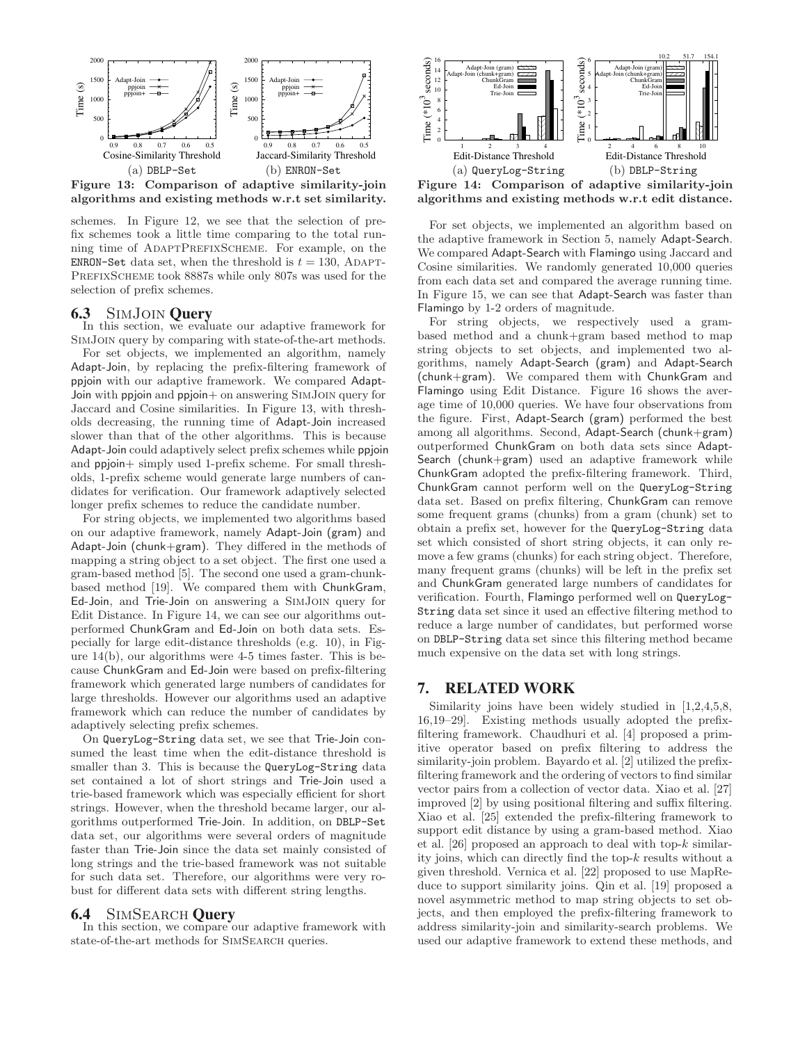

Figure 13: Comparison of adaptive similarity-join algorithms and existing methods w.r.t set similarity.

schemes. In Figure 12, we see that the selection of prefix schemes took a little time comparing to the total running time of ADAPTPREFIXSCHEME. For example, on the ENRON-Set data set, when the threshold is  $t = 130$ , ADAPT-PREFIXSCHEME took 8887s while only 807s was used for the selection of prefix schemes.

# **6.3** SimJoin **Query**

In this section, we evaluate our adaptive framework for SimJoin query by comparing with state-of-the-art methods.

For set objects, we implemented an algorithm, namely Adapt-Join, by replacing the prefix-filtering framework of ppjoin with our adaptive framework. We compared Adapt-Join with ppjoin and ppjoin+ on answering SimJoin query for Jaccard and Cosine similarities. In Figure 13, with thresholds decreasing, the running time of Adapt-Join increased slower than that of the other algorithms. This is because Adapt-Join could adaptively select prefix schemes while ppjoin and ppjoin+ simply used 1-prefix scheme. For small thresholds, 1-prefix scheme would generate large numbers of candidates for verification. Our framework adaptively selected longer prefix schemes to reduce the candidate number.

For string objects, we implemented two algorithms based on our adaptive framework, namely Adapt-Join (gram) and Adapt-Join (chunk+gram). They differed in the methods of mapping a string object to a set object. The first one used a gram-based method [5]. The second one used a gram-chunkbased method [19]. We compared them with ChunkGram, Ed-Join, and Trie-Join on answering a SimJoin query for Edit Distance. In Figure 14, we can see our algorithms outperformed ChunkGram and Ed-Join on both data sets. Especially for large edit-distance thresholds (e.g. 10), in Figure 14(b), our algorithms were 4-5 times faster. This is because ChunkGram and Ed-Join were based on prefix-filtering framework which generated large numbers of candidates for large thresholds. However our algorithms used an adaptive framework which can reduce the number of candidates by adaptively selecting prefix schemes.

On QueryLog-String data set, we see that Trie-Join consumed the least time when the edit-distance threshold is smaller than 3. This is because the QueryLog-String data set contained a lot of short strings and Trie-Join used a trie-based framework which was especially efficient for short strings. However, when the threshold became larger, our algorithms outperformed Trie-Join. In addition, on DBLP-Set data set, our algorithms were several orders of magnitude faster than Trie-Join since the data set mainly consisted of long strings and the trie-based framework was not suitable for such data set. Therefore, our algorithms were very robust for different data sets with different string lengths.

#### **6.4** SimSearch **Query**

In this section, we compare our adaptive framework with state-of-the-art methods for SimSearch queries.



Figure 14: Comparison of adaptive similarity-join algorithms and existing methods w.r.t edit distance.

For set objects, we implemented an algorithm based on the adaptive framework in Section 5, namely Adapt-Search. We compared Adapt-Search with Flamingo using Jaccard and Cosine similarities. We randomly generated 10,000 queries from each data set and compared the average running time. In Figure 15, we can see that Adapt-Search was faster than Flamingo by 1-2 orders of magnitude.

For string objects, we respectively used a grambased method and a chunk+gram based method to map string objects to set objects, and implemented two algorithms, namely Adapt-Search (gram) and Adapt-Search (chunk+gram). We compared them with ChunkGram and Flamingo using Edit Distance. Figure 16 shows the average time of 10,000 queries. We have four observations from the figure. First, Adapt-Search (gram) performed the best among all algorithms. Second, Adapt-Search (chunk+gram) outperformed ChunkGram on both data sets since Adapt-Search (chunk+gram) used an adaptive framework while ChunkGram adopted the prefix-filtering framework. Third, ChunkGram cannot perform well on the QueryLog-String data set. Based on prefix filtering, ChunkGram can remove some frequent grams (chunks) from a gram (chunk) set to obtain a prefix set, however for the QueryLog-String data set which consisted of short string objects, it can only remove a few grams (chunks) for each string object. Therefore, many frequent grams (chunks) will be left in the prefix set and ChunkGram generated large numbers of candidates for verification. Fourth, Flamingo performed well on QueryLog-String data set since it used an effective filtering method to reduce a large number of candidates, but performed worse on DBLP-String data set since this filtering method became much expensive on the data set with long strings.

# **7. RELATED WORK**

Similarity joins have been widely studied in [1,2,4,5,8,] 16,19–29]. Existing methods usually adopted the prefixfiltering framework. Chaudhuri et al. [4] proposed a primitive operator based on prefix filtering to address the similarity-join problem. Bayardo et al. [2] utilized the prefixfiltering framework and the ordering of vectors to find similar vector pairs from a collection of vector data. Xiao et al. [27] improved [2] by using positional filtering and suffix filtering. Xiao et al. [25] extended the prefix-filtering framework to support edit distance by using a gram-based method. Xiao et al. [26] proposed an approach to deal with top- $k$  similarity joins, which can directly find the top-k results without a given threshold. Vernica et al. [22] proposed to use MapReduce to support similarity joins. Qin et al. [19] proposed a novel asymmetric method to map string objects to set objects, and then employed the prefix-filtering framework to address similarity-join and similarity-search problems. We used our adaptive framework to extend these methods, and